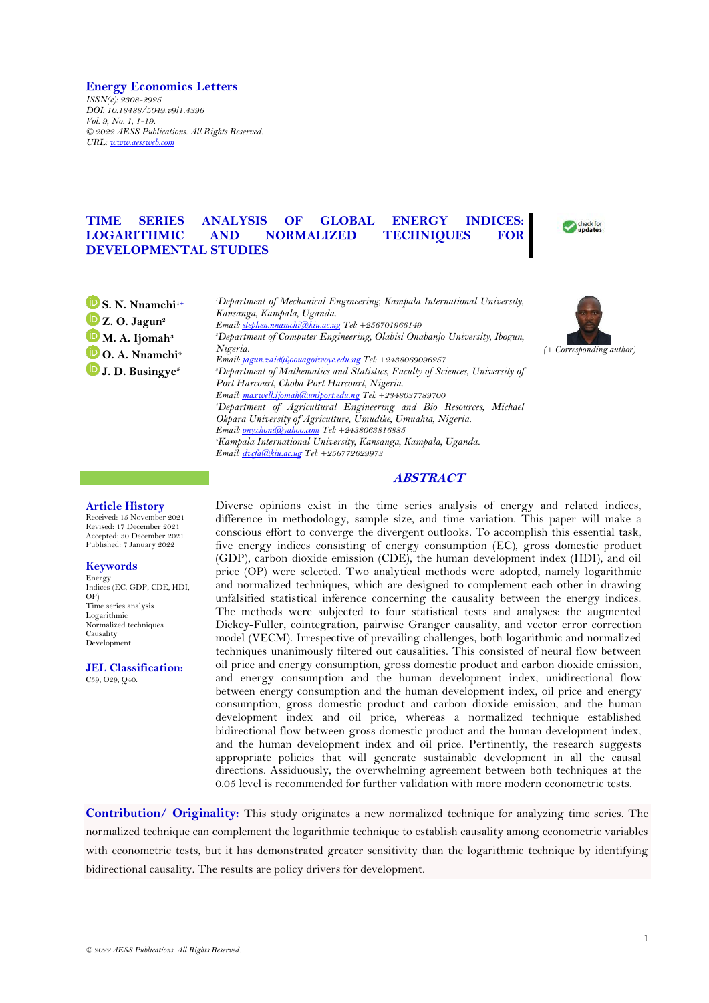### **Energy Economics Letters**

*ISSN(e): 2308-2925 DOI: 10.18488/5049.v9i1.4396 Vol. 9, No. 1, 1-19. © 2022 AESS Publications. All Rights Reserved. URL: [www.aessweb.com](http://www.aessweb.com/)*

# **TIME SERIES ANALYSIS OF GLOBAL ENERGY INDICES: LOGARITHMIC AND NORMALIZED TECHNIQUES FOR DEVELOPMENTAL STUDIES**



**[S](https://orcid.org/0000-0002-6368-2913). N. Nnamchi1+ [Z](https://orcid.org/0000-0002-1544-0266). O. Jagun<sup>2</sup> [M](https://orcid.org/0000-0002-5839-0262). A. Ijomah<sup>3</sup> [O](https://orcid.org/0000-0003-4099-601X). A. Nnamchi<sup>4</sup> [J](https://orcid.org/0000-0002-2933-3023). D. Busingye<sup>5</sup>**

*<sup>1</sup>Department of Mechanical Engineering, Kampala International University, Kansanga, Kampala, Uganda. Email[: stephen.nnamchi@kiu.ac.ug](mailto:stephen.nnamchi@kiu.ac.ug) Tel: +256701966149 <sup>2</sup>Department of Computer Engineering, Olabisi Onabanjo University, Ibogun, Nigeria. Email[: jagun.zaid@oouagoiwoye.edu.ng](mailto:jagun.zaid@oouagoiwoye.edu.ng) Tel: +2438069096257 <sup>3</sup>Department of Mathematics and Statistics, Faculty of Sciences, University of Port Harcourt, Choba Port Harcourt, Nigeria. Email[: maxwell.ijomah@uniport.edu.ng](mailto:maxwell.ijomah@uniport.edu.ng) Tel: +2348037789700 <sup>4</sup>Department of Agricultural Engineering and Bio Resources, Michael Okpara University of Agriculture, Umudike, Umuahia, Nigeria. Email[: onyxhoni@yahoo.com](mailto:onyxhoni@yahoo.com) Tel: +2438063816885 <sup>5</sup>Kampala International University, Kansanga, Kampala, Uganda. Email[: dvcfa@kiu.ac.ug](mailto:dvcfa@kiu.ac.ug) Tel: +256772629973* 



## **ABSTRACT**

### **Article History**

Received: 15 November 2021 Revised: 17 December 2021 Accepted: 30 December 2021 Published: 7 January 2022

## **Keywords**

Energy Indices (EC, GDP, CDE, HDI, OP) Time series analysis Logarithmic Normalized techniques Causality Development.

**JEL Classification:** C59, O29, Q40.

Diverse opinions exist in the time series analysis of energy and related indices, difference in methodology, sample size, and time variation. This paper will make a conscious effort to converge the divergent outlooks. To accomplish this essential task, five energy indices consisting of energy consumption (EC), gross domestic product (GDP), carbon dioxide emission (CDE), the human development index (HDI), and oil price (OP) were selected. Two analytical methods were adopted, namely logarithmic and normalized techniques, which are designed to complement each other in drawing unfalsified statistical inference concerning the causality between the energy indices. The methods were subjected to four statistical tests and analyses: the augmented Dickey-Fuller, cointegration, pairwise Granger causality, and vector error correction model (VECM). Irrespective of prevailing challenges, both logarithmic and normalized techniques unanimously filtered out causalities. This consisted of neural flow between oil price and energy consumption, gross domestic product and carbon dioxide emission, and energy consumption and the human development index, unidirectional flow between energy consumption and the human development index, oil price and energy consumption, gross domestic product and carbon dioxide emission, and the human development index and oil price, whereas a normalized technique established bidirectional flow between gross domestic product and the human development index, and the human development index and oil price. Pertinently, the research suggests appropriate policies that will generate sustainable development in all the causal directions. Assiduously, the overwhelming agreement between both techniques at the 0.05 level is recommended for further validation with more modern econometric tests.

**Contribution/ Originality:** This study originates a new normalized technique for analyzing time series. The normalized technique can complement the logarithmic technique to establish causality among econometric variables with econometric tests, but it has demonstrated greater sensitivity than the logarithmic technique by identifying bidirectional causality. The results are policy drivers for development.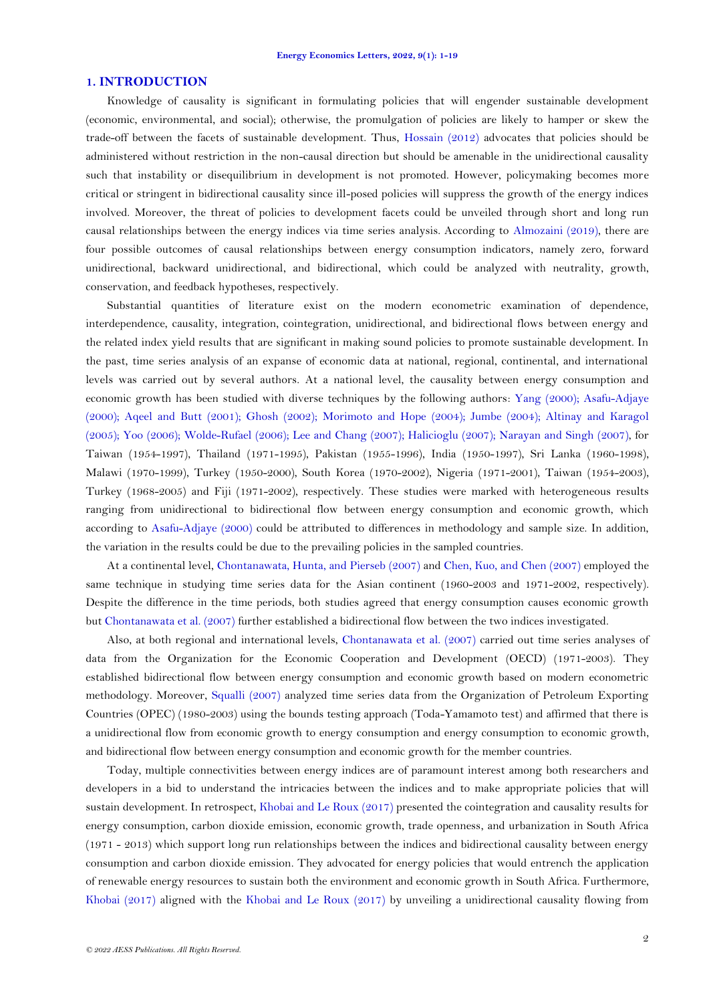### **1. INTRODUCTION**

Knowledge of causality is significant in formulating policies that will engender sustainable development (economic, environmental, and social); otherwise, the promulgation of policies are likely to hamper or skew the trade-off between the facets of sustainable development. Thus, [Hossain \(2012\)](#page-17-0) advocates that policies should be administered without restriction in the non-causal direction but should be amenable in the unidirectional causality such that instability or disequilibrium in development is not promoted. However, policymaking becomes more critical or stringent in bidirectional causality since ill-posed policies will suppress the growth of the energy indices involved. Moreover, the threat of policies to development facets could be unveiled through short and long run causal relationships between the energy indices via time series analysis. According to [Almozaini \(2019\)](#page-16-0), there are four possible outcomes of causal relationships between energy consumption indicators, namely zero, forward unidirectional, backward unidirectional, and bidirectional, which could be analyzed with neutrality, growth, conservation, and feedback hypotheses, respectively.

Substantial quantities of literature exist on the modern econometric examination of dependence, interdependence, causality, integration, cointegration, unidirectional, and bidirectional flows between energy and the related index yield results that are significant in making sound policies to promote sustainable development. In the past, time series analysis of an expanse of economic data at national, regional, continental, and international levels was carried out by several authors. At a national level, the causality between energy consumption and economic growth has been studied with diverse techniques by the following authors: [Yang \(2000\)](#page-18-0); [Asafu-Adjaye](#page-17-1)  [\(2000\)](#page-17-1); [Aqeel and Butt \(2001\)](#page-16-1); [Ghosh \(2002\)](#page-17-2); [Morimoto and Hope \(2004\)](#page-17-3); [Jumbe \(2004\)](#page-17-4); [Altinay and Karagol](#page-16-2)  [\(2005\)](#page-16-2); [Yoo \(2006\)](#page-18-1); [Wolde-Rufael \(2006\)](#page-18-2); [Lee and Chang \(2007\)](#page-17-5); [Halicioglu \(2007\)](#page-17-6); [Narayan and Singh \(2007\)](#page-17-7), for Taiwan (1954-1997), Thailand (1971-1995), Pakistan (1955-1996), India (1950-1997), Sri Lanka (1960-1998), Malawi (1970-1999), Turkey (1950-2000), South Korea (1970-2002), Nigeria (1971-2001), Taiwan (1954-2003), Turkey (1968-2005) and Fiji (1971-2002), respectively. These studies were marked with heterogeneous results ranging from unidirectional to bidirectional flow between energy consumption and economic growth, which according to [Asafu-Adjaye \(2000\)](#page-17-1) could be attributed to differences in methodology and sample size. In addition, the variation in the results could be due to the prevailing policies in the sampled countries.

At a continental level, [Chontanawata, Hunta, and Pierseb \(2007\)](#page-17-8) and [Chen, Kuo, and Chen \(2007\)](#page-17-9) employed the same technique in studying time series data for the Asian continent (1960-2003 and 1971-2002, respectively). Despite the difference in the time periods, both studies agreed that energy consumption causes economic growth but [Chontanawata et al. \(2007\)](#page-17-8) further established a bidirectional flow between the two indices investigated.

Also, at both regional and international levels, [Chontanawata et al. \(2007\)](#page-17-8) carried out time series analyses of data from the Organization for the Economic Cooperation and Development (OECD) (1971-2003). They established bidirectional flow between energy consumption and economic growth based on modern econometric methodology. Moreover, [Squalli \(2007\)](#page-17-10) analyzed time series data from the Organization of Petroleum Exporting Countries (OPEC) (1980-2003) using the bounds testing approach (Toda-Yamamoto test) and affirmed that there is a unidirectional flow from economic growth to energy consumption and energy consumption to economic growth, and bidirectional flow between energy consumption and economic growth for the member countries.

Today, multiple connectivities between energy indices are of paramount interest among both researchers and developers in a bid to understand the intricacies between the indices and to make appropriate policies that will sustain development. In retrospect, [Khobai and Le Roux \(2017\)](#page-17-11) presented the cointegration and causality results for energy consumption, carbon dioxide emission, economic growth, trade openness, and urbanization in South Africa (1971 - 2013) which support long run relationships between the indices and bidirectional causality between energy consumption and carbon dioxide emission. They advocated for energy policies that would entrench the application of renewable energy resources to sustain both the environment and economic growth in South Africa. Furthermore, [Khobai \(2017\)](#page-17-12) aligned with the [Khobai and Le Roux \(2017\)](#page-17-11) by unveiling a unidirectional causality flowing from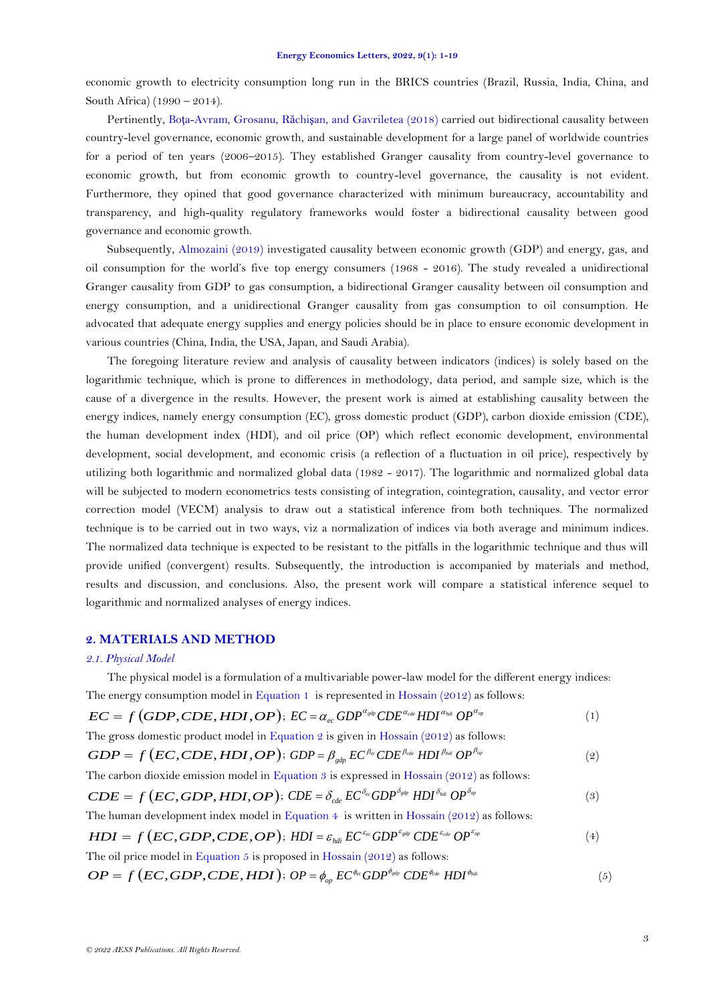economic growth to electricity consumption long run in the BRICS countries (Brazil, Russia, India, China, and South Africa) (1990 – 2014).

Pertinently, Boţa-Avram, Grosanu, Răchiş[an, and Gavriletea \(2018\)](#page-17-13) carried out bidirectional causality between country-level governance, economic growth, and sustainable development for a large panel of worldwide countries for a period of ten years (2006–2015). They established Granger causality from country-level governance to economic growth, but from economic growth to country-level governance, the causality is not evident. Furthermore, they opined that good governance characterized with minimum bureaucracy, accountability and transparency, and high-quality regulatory frameworks would foster a bidirectional causality between good governance and economic growth.

Subsequently, [Almozaini \(2019\)](#page-16-0) investigated causality between economic growth (GDP) and energy, gas, and oil consumption for the world's five top energy consumers (1968 - 2016). The study revealed a unidirectional Granger causality from GDP to gas consumption, a bidirectional Granger causality between oil consumption and energy consumption, and a unidirectional Granger causality from gas consumption to oil consumption. He advocated that adequate energy supplies and energy policies should be in place to ensure economic development in various countries (China, India, the USA, Japan, and Saudi Arabia).

The foregoing literature review and analysis of causality between indicators (indices) is solely based on the logarithmic technique, which is prone to differences in methodology, data period, and sample size, which is the cause of a divergence in the results. However, the present work is aimed at establishing causality between the energy indices, namely energy consumption (EC), gross domestic product (GDP), carbon dioxide emission (CDE), the human development index (HDI), and oil price (OP) which reflect economic development, environmental development, social development, and economic crisis (a reflection of a fluctuation in oil price), respectively by utilizing both logarithmic and normalized global data (1982 - 2017). The logarithmic and normalized global data will be subjected to modern econometrics tests consisting of integration, cointegration, causality, and vector error correction model (VECM) analysis to draw out a statistical inference from both techniques. The normalized technique is to be carried out in two ways, viz a normalization of indices via both average and minimum indices. The normalized data technique is expected to be resistant to the pitfalls in the logarithmic technique and thus will provide unified (convergent) results. Subsequently, the introduction is accompanied by materials and method, results and discussion, and conclusions. Also, the present work will compare a statistical inference sequel to logarithmic and normalized analyses of energy indices.

## <span id="page-2-5"></span>**2. MATERIALS AND METHOD**

### *2.1. Physical Model*

The physical model is a formulation of a multivariable power-law model for the different energy indices: The energy consumption model in [Equation 1](#page-2-0) is represented in [Hossain \(2012\)](#page-17-0) as follows:

<span id="page-2-0"></span>
$$
EC = f\left(GDP, CDE, HDI, OP\right); EC = \alpha_{ec} GDP^{\alpha_{gdp}} CDE^{\alpha_{cde}} HDI^{\alpha_{hd}} OP^{\alpha_{op}} \tag{1}
$$

The gross domestic product model in [Equation 2](#page-2-1) is given i[n Hossain \(2012\)](#page-17-0) as follows:

<span id="page-2-1"></span>
$$
GDP = f(EC, CDE, HDI, OP); GDP = \beta_{gdp} EC^{\beta_{cc}} CDE^{\beta_{cdc}} HDI^{\beta_{hdi}} OP^{\beta_{op}}
$$
\n(2)

<span id="page-2-2"></span>The carbon dioxide emission model in [Equation 3](#page-2-2) is expressed in Hossain  $(2012)$  as follows:

$$
CDE = f\left(EC, GDP, HDI, OP\right); CDE = \delta_{cde} EC^{\delta_{ec}} GDP^{\delta_{cde}} HDI^{\delta_{hel}} OP^{\delta_{op}}
$$
 (3)

<span id="page-2-3"></span>The human development index model in Equation  $4$  is written in [Hossain \(2012\)](#page-17-0) as follows:

$$
HDI = f\left(EC, GDP, CDE, OP\right); \ HDI = \varepsilon_{hdi} \ E C^{\varepsilon_{ec}} GDP^{\varepsilon_{cdp}} \ CDE^{\varepsilon_{cde}} OP^{\varepsilon_{op}} \tag{4}
$$

The oil price model in [Equation 5](#page-2-4) is proposed in Hossain  $(2012)$  as follows:

<span id="page-2-4"></span> $OP = f\left(EC, GDP, CDE, HDI\right); OP = \phi_{op} \ EC^{\phi_{cc}} GDP^{\phi_{gdp}} \ CDE^{\phi_{cde}} \ HDI^{\phi_{hdi}}$  (5) (5)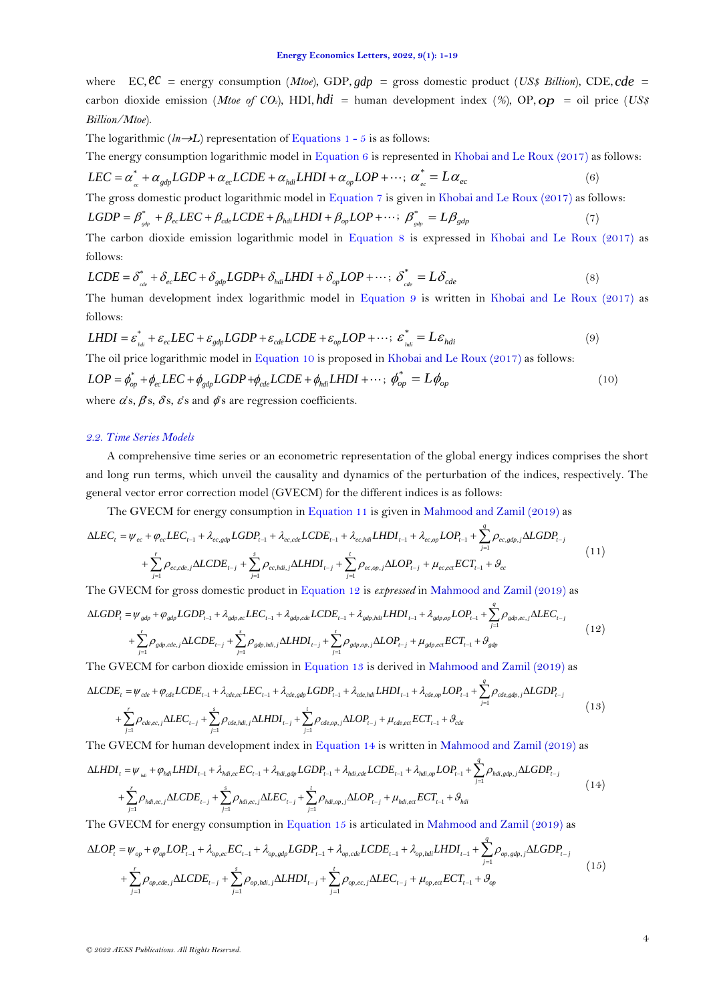where EC,  $\ell\ell$  = energy consumption (*Mtoe*), GDP,  $gdp$  = gross domestic product (*US\$ Billion*), CDE, cde = carbon dioxide emission (*Mtoe of CO2*), HDI, *hdi* = human development index (*%*), OP, *op* = oil price (*US\$ Billion/Mtoe*).

The logarithmic  $(ln \rightarrow L)$  representation of [Equations 1 -](#page-2-5) 5 is as follows:

The energy consumption logarithmic model in [Equation 6](#page-3-0) is represented i[n Khobai and Le Roux \(2017\)](#page-17-11) as follows:

<span id="page-3-0"></span>
$$
LEC = \alpha_{ee}^* + \alpha_{gdp} LGDP + \alpha_{ec} LCDE + \alpha_{hdi} LHDI + \alpha_{op} LOP + \cdots; \ \alpha_{ee}^* = L\alpha_{ec}
$$
\n
$$
(6)
$$

The gross domestic product logarithmic model in [Equation 7](#page-3-1) is given in [Khobai and Le Roux \(2017\)](#page-17-11) as follows:

<span id="page-3-1"></span>
$$
LGDP = \beta_{\text{gdp}}^* + \beta_{\text{ec}} LEC + \beta_{\text{cde}} LCDE + \beta_{\text{hdi}} LHDI + \beta_{\text{op}} LOP + \cdots; \ \beta_{\text{gdp}}^* = L\beta_{\text{gdp}}
$$
(7)

<span id="page-3-2"></span>The carbon dioxide emission logarithmic model in [Equation 8](#page-3-2) is expressed in [Khobai and Le Roux \(2017\)](#page-17-11) as follows:

$$
LCDE = \delta_{\text{cde}}^* + \delta_{\text{ec}} LEC + \delta_{\text{gdp}} LGDP + \delta_{\text{hdi}} LHDI + \delta_{\text{op}} LOP + \cdots; \delta_{\text{cde}}^* = L\delta_{\text{cde}}
$$
\n(8)

<span id="page-3-3"></span>The human development index logarithmic model in [Equation 9](#page-3-3) is written in [Khobai and Le Roux \(2017\)](#page-17-11) as follows:

$$
LHDI = \varepsilon_{\text{hat}}^* + \varepsilon_{ec} LEC + \varepsilon_{\text{gdp}} LGDP + \varepsilon_{cde} LCDE + \varepsilon_{op} LOP + \cdots; \ \varepsilon_{\text{hat}}^* = L\varepsilon_{\text{hdi}} \tag{9}
$$

<span id="page-3-4"></span>The oil price logarithmic model in [Equation 10](#page-3-4) is proposed i[n Khobai and Le Roux \(2017\)](#page-17-11) as follows:

$$
LOP = \phi_{op}^* + \phi_{ec} LEC + \phi_{gdp} LGDP + \phi_{cde} LCDE + \phi_{hdi} LHDI + \cdots; \ \phi_{op}^* = L\phi_{op}
$$
\n
$$
(10)
$$

where  $\alpha$ 's,  $\beta$ 's,  $\delta$ 's,  $\epsilon$ 's and  $\phi$ 's are regression coefficients.

## *2.2. Time Series Models*

A comprehensive time series or an econometric representation of the global energy indices comprises the short and long run terms, which unveil the causality and dynamics of the perturbation of the indices, respectively. The general vector error correction model (GVECM) for the different indices is as follows:

<span id="page-3-5"></span>The GVECM for energy consumption in [Equation 11](#page-3-5) is given i[n Mahmood and Zamil \(2019\)](#page-17-14) as

$$
\Delta LEC_{t} = \psi_{ec} + \varphi_{ec} LEC_{t-1} + \lambda_{ec, d\varphi} LGDP_{t-1} + \lambda_{ec, cde} LCDE_{t-1} + \lambda_{ec, hdi} LHDI_{t-1} + \lambda_{ec, op} LOP_{t-1} + \sum_{j=1}^{q} \rho_{ec, gdp, j} \Delta LGDP_{t-j} + \sum_{j=1}^{r} \rho_{ec, cde, j} \Delta LCDE_{t-j} + \sum_{j=1}^{s} \rho_{ec, hdi, j} \Delta LHDI_{t-j} + \sum_{j=1}^{t} \rho_{ec, op, j} \Delta LOP_{t-j} + \mu_{ec, ec} ECT_{t-1} + \vartheta_{ec}
$$
\n(11)

<span id="page-3-6"></span>The GVECM for gross domestic product i[n Equation 12](#page-3-6) is *expressed* in [Mahmood and Zamil \(2019\)](#page-17-14) as *q*

$$
\Delta LGDP_{t} = \psi_{gdp} + \varphi_{gdp} LGDP_{t-1} + \lambda_{gdp,ec} LEC_{t-1} + \lambda_{gdp,cd} LCDE_{t-1} + \lambda_{gdp,hd} LHDI_{t-1} + \lambda_{gdp,op} LOP_{t-1} + \sum_{j=1}^{r} \rho_{gdp,ec,j} \Delta LEC_{t-j} + \sum_{j=1}^{r} \rho_{gdp,cde,j} \Delta LCDE_{t-j} + \sum_{j=1}^{s} \rho_{gdp,hdi,j} \Delta LHDI_{t-j} + \sum_{j=1}^{t} \rho_{gdp,op,j} \Delta LOP_{t-j} + \mu_{gdp,ec} ECT_{t-1} + \vartheta_{gdp}
$$
\n(12)

<span id="page-3-7"></span>The GVECM for carbon dioxide emission in [Equation 13](#page-3-7) is derived in [Mahmood and Zamil \(2019\)](#page-17-14) as

$$
\Delta L CDE_{t} = \psi_{cde} + \varphi_{cde} L CDE_{t-1} + \lambda_{cde,ec} LEC_{t-1} + \lambda_{cde,gd} L GDP_{t-1} + \lambda_{cde,hd} L HDI_{t-1} + \lambda_{cde,op} LOP_{t-1} + \sum_{j=1}^{q} \rho_{cde,gdp,j} \Delta LGDP_{t-j} + \sum_{i=1}^{r} \rho_{cde,ec,j} \Delta L EC_{t-j} + \sum_{i=1}^{s} \rho_{cde,hali,j} \Delta L HDI_{t-j} + \sum_{i=1}^{t} \rho_{cde,op,j} \Delta LOP_{t-j} + \mu_{cde,ec} ECT_{t-1} + \vartheta_{cde}
$$
\n(13)

 $=1$ 

1

*j* The GVECM for human development index in [Equation 14](#page-3-8) is written i[n Mahmood and Zamil \(2019\)](#page-17-14) as

 $=1$   $j=1$ 

 $i=1$ 

$$
\Delta LHDI_{t} = \psi_{\text{hali}} + \varphi_{\text{hali}} LHDI_{t-1} + \lambda_{\text{hali,ee}} EC_{t-1} + \lambda_{\text{hali,gdp}} LGDP_{t-1} + \lambda_{\text{hali,ce}} LCDE_{t-1} + \lambda_{\text{hali,ep}} LOP_{t-1} + \sum_{j=1}^{q} \rho_{\text{hali,gdp},j} \Delta LGDP_{t-j} + \sum_{j=1}^{r} \rho_{\text{hali,ec,j}} \Delta LCDE_{t-j} + \sum_{j=1}^{s} \rho_{\text{hali,ec,j}} \Delta LCEC_{t-j} + \sum_{j=1}^{t} \rho_{\text{hali,ep},j} \Delta LOP_{t-j} + \mu_{\text{hali,ec}} ECT_{t-1} + \vartheta_{\text{hali}} \tag{14}
$$

The GVECM for energy consumption in [Equation 15](#page-3-9) is articulated in [Mahmood and Zamil \(2019\)](#page-17-14) as

<span id="page-3-9"></span>
$$
\Delta LOP_{t} = \psi_{op} + \varphi_{op} LOP_{t-1} + \lambda_{op,ec} EC_{t-1} + \lambda_{op,gdp} LGDP_{t-1} + \lambda_{op,cdc} LCDF_{t-1} + \lambda_{op,hid} LHDI_{t-1} + \sum_{j=1}^{q} \rho_{op,gdp,j} \Delta LGDP_{t-j} + \sum_{j=1}^{r} \rho_{op,cde,j} \Delta LCDF_{t-j} + \sum_{j=1}^{s} \rho_{op,hdi,j} \Delta LHDI_{t-j} + \sum_{j=1}^{r} \rho_{op,ec,j} \Delta LEC_{t-j} + \mu_{op,ec} ECT_{t-1} + \vartheta_{op}
$$
(15)

<span id="page-3-8"></span> $=1$   $j=1$ 

 $i = 1$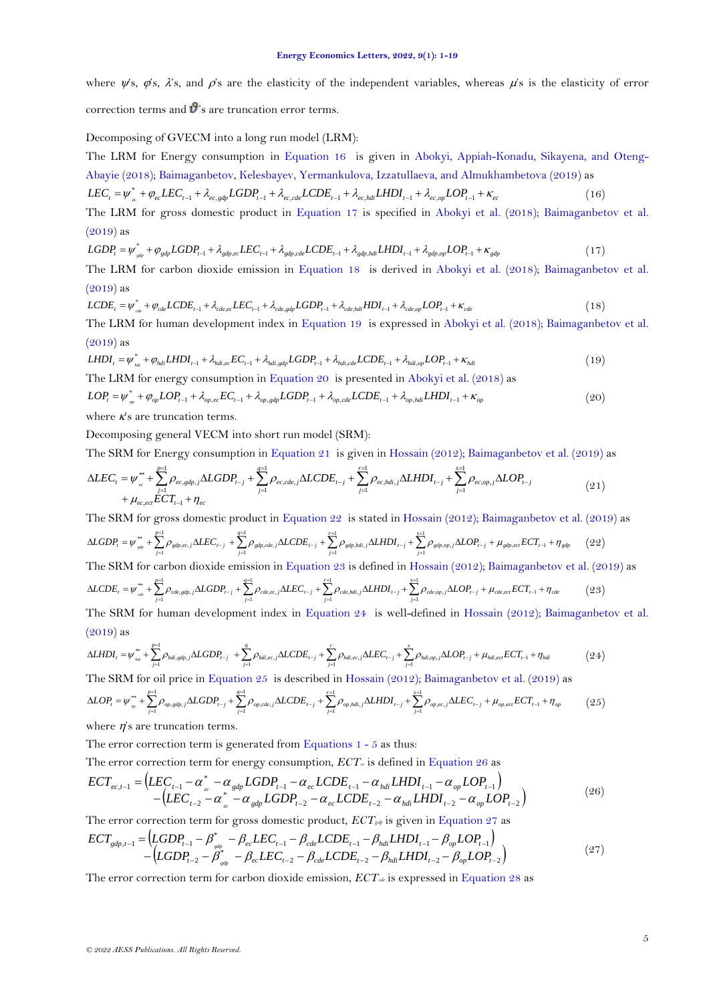where  $\psi$ s,  $\dot{\varphi}$ s,  $\dot{\chi}$ s, and  $\dot{\varphi}$ s are the elasticity of the independent variables, whereas  $\dot{\mu}$ s is the elasticity of error

correction terms and  $\mathbf{\vartheta}$ 's are truncation error terms.

## Decomposing of GVECM into a long run model (LRM):

<span id="page-4-0"></span>The LRM for Energy consumption in [Equation 16](#page-4-0) is given in [Abokyi, Appiah-Konadu, Sikayena, and Oteng-](#page-16-3)[Abayie \(2018\)](#page-16-3); [Baimaganbetov, Kelesbayev, Yermankulova, Izzatullaeva, and Almukhambetova \(2019\)](#page-17-15) as

<span id="page-4-1"></span>
$$
LEC_{t} = \psi_{ee}^{*} + \varphi_{ee} LEC_{t-1} + \lambda_{ec, gdp} LGDP_{t-1} + \lambda_{ec, cde} LCDE_{t-1} + \lambda_{ec, hdi} LHDI_{t-1} + \lambda_{ec, op} LOP_{t-1} + \kappa_{ec}
$$
\n(16)

The LRM for gross domestic product in [Equation 17](#page-4-1) is specified in [Abokyi et al. \(2018\)](#page-16-3); [Baimaganbetov et al.](#page-17-15)   $(2019)$  as

<span id="page-4-2"></span> $LGDP_{t} = \psi^*_{\text{gap}} + \varphi_{\text{gap}} LGDP_{t-1} + \lambda_{\text{gap,ee}} LEC_{t-1} + \lambda_{\text{gap,ode}} LCDE_{t-1} + \lambda_{\text{gap,hid}} LHDI_{t-1} + \lambda_{\text{gap,op}} LOP_{t-1} + \kappa_{\text{gap}}$  (17) (17)

The LRM for carbon dioxide emission in [Equation 18](#page-4-2) is derived in [Abokyi et al. \(2018\)](#page-16-3); [Baimaganbetov et al.](#page-17-15)   $(2019)$  as

<span id="page-4-3"></span>
$$
LCDE_{t} = \psi_{cde}^{*} + \varphi_{cde} LCDE_{t-1} + \lambda_{cde,ec} LEC_{t-1} + \lambda_{cde,ag} LGDP_{t-1} + \lambda_{cde,hd} HDI_{t-1} + \lambda_{cde,op} LOP_{t-1} + \kappa_{cde} \tag{18}
$$

The LRM for human development index in [Equation 19](#page-4-3) is expressed in [Abokyi et al. \(2018\)](#page-16-3); [Baimaganbetov et al.](#page-17-15)   $(2019)$  as

$$
LHDI_t = \psi^*_{\hbar di} + \varphi_{\hbar di} LHDI_{t-1} + \lambda_{\hbar di, ec} EC_{t-1} + \lambda_{\hbar di, gdp} LGDP_{t-1} + \lambda_{\hbar di, cde} LCDE_{t-1} + \lambda_{\hbar di, op} LOP_{t-1} + \kappa_{\hbar di}
$$
\n
$$
\tag{19}
$$

The LRM for energy consumption in Equation 20 is presented in Abokyi et al. (2018) as  
\n
$$
LOP_t = \psi_{m}^* + \varphi_{op}LOP_{t-1} + \lambda_{op,ec}EC_{t-1} + \lambda_{op,cd}LOP_{t-1} + \lambda_{op,cd}LODE_{t-1} + \lambda_{op,hd} LHDI_{t-1} + \kappa_{op}
$$
\n(20)

<span id="page-4-4"></span>
$$
LOP_{t} = \psi_{op}^{*} + \varphi_{op}LOP_{t-1} + \lambda_{op,ec}EC_{t-1} + \lambda_{op,edp} LGDP_{t-1} + \lambda_{op,cde} LCDE_{t-1} + \lambda_{op,hdi} LHDI_{t-1} + \kappa_{op}
$$
(20)

where  $\kappa$ 's are truncation terms.

Decomposing general VECM into short run model (SRM):

<span id="page-4-5"></span>The SRM for Energy consumption in [Equation 21](#page-4-5) is given in [Hossain \(2012\)](#page-17-0); [Baimaganbetov et al. \(2019\)](#page-17-15) as

$$
\Delta LEC_{t} = \psi_{ce}^{**} + \sum_{j=1}^{p=1} \rho_{ec, gdp,j} \Delta LGDP_{t-j} + \sum_{j=1}^{q=1} \rho_{ec, cde,j} \Delta LCDE_{t-j} + \sum_{j=1}^{r=1} \rho_{ec, hdi,j} \Delta LHDI_{t-j} + \sum_{j=1}^{s=1} \rho_{ec, op,j} \Delta LOP_{t-j} + \mu_{ec, ect} ECT_{t-1} + \eta_{ec}
$$
\n(21)

<span id="page-4-6"></span>The SRM for gross domestic product in [Equation 22](#page-4-6) is stated i[n Hossain \(2012\)](#page-17-0); [Baimaganbetov et al. \(2019\)](#page-17-15) as

$$
\Delta LGDP_{t} = \psi_{s\phi}^{**} + \sum_{j=1}^{p-1} \rho_{gdp,ec,j} \Delta LEC_{t-j} + \sum_{j=1}^{q-1} \rho_{gdp,cde,j} \Delta LCDE_{t-j} + \sum_{j=1}^{r-1} \rho_{gdp,hdi,j} \Delta LHDI_{t-j} + \sum_{j=1}^{s-1} \rho_{gdp,op,j} \Delta LOP_{t-j} + \mu_{gdp,ect} ECT_{t-1} + \eta_{gdp} \tag{22}
$$

The SRM for carbon dioxide emission in [Equation 23](#page-4-7) is defined in [Hossain \(2012\)](#page-17-0); [Baimaganbetov et al. \(2019\)](#page-17-15) as

<span id="page-4-7"></span>
$$
\Delta LCDE_{t} = \psi_{_{\text{cde}}^{*}}^{*} + \sum_{j=1}^{p=1} \rho_{_{\text{cde},\text{gdp},j}} \Delta LGDP_{t-j} + \sum_{j=1}^{q=1} \rho_{_{\text{cde},\text{ec},j}} \Delta LEC_{t-j} + \sum_{j=1}^{r=1} \rho_{_{\text{cde},\text{hdi},j}} \Delta LHDI_{t-j} + \sum_{j=1}^{s=1} \rho_{_{\text{cde},\text{op},j}} \Delta LOP_{t-j} + \mu_{_{\text{cde},\text{ec}}} ECT_{t-1} + \eta_{_{\text{cde}}}
$$
(23)

<span id="page-4-8"></span>The SRM for human development index in [Equation 24](#page-4-8) is well-defined in [Hossain \(2012\)](#page-17-0); [Baimaganbetov et al.](#page-17-15)   $(2019)$  as

$$
\Delta LHDI_{t} = \psi_{\scriptscriptstyle{hcl}}^{**} + \sum_{j=1}^{p=1} \rho_{\scriptscriptstyle{hdi, gdp, j}} \Delta LGDP_{t-j} + \sum_{j=1}^{q} \rho_{\scriptscriptstyle{hdi, ec, j}} \Delta LCDE_{t-j} + \sum_{j=1}^{r} \rho_{\scriptscriptstyle{hdi, ec, j}} \Delta LEC_{t-j} + \sum_{j=1}^{s} \rho_{\scriptscriptstyle{hdi, op, j}} \Delta LOP_{t-j} + \mu_{\scriptscriptstyle{hdi, ec}ECT_{t-1}} + \eta_{\scriptscriptstyle{hdi}} \tag{24}
$$

The SRM for oil price in [Equation 25](#page-4-9) is described in [Hossain \(2012\)](#page-17-0); [Baimaganbetov et al. \(2019\)](#page-17-15) as

<span id="page-4-9"></span>
$$
\Delta LOP_t = \psi_{op}^{**} + \sum_{j=1}^{p=1} \rho_{op, gdp,j} \Delta LGDP_{t-j} + \sum_{j=1}^{q=1} \rho_{op, cde,j} \Delta LCDF_{t-j} + \sum_{j=1}^{r=1} \rho_{op, hdi,j} \Delta LHDI_{t-j} + \sum_{j=1}^{s=1} \rho_{op, cci,j} \Delta LEC_{t-j} + \mu_{op, cci} ECT_{t-1} + \eta_{op} \tag{25}
$$

where  $\vec{n}$ 's are truncation terms.

The error correction term is generated from Equations  $1 - 5$  as thus:

<span id="page-4-10"></span>The error correction term for energy consumption,  $\text{ECT}_e$  is defined in [Equation 26](#page-4-10) as

$$
ECT_{ec,t-1} = (LEC_{t-1} - \alpha_{ec}^* - \alpha_{gdp} LGDP_{t-1} - \alpha_{ec} LCDE_{t-1} - \alpha_{hdi} LHDI_{t-1} - \alpha_{op} LOP_{t-1})
$$
  
-(LEC\_{t-2} - \alpha\_{ec}^\* - \alpha\_{gdp} LGDP\_{t-2} - \alpha\_{ec} LCDE\_{t-2} - \alpha\_{hdi} LHDI\_{t-2} - \alpha\_{op} LOP\_{t-2}) (26)

<span id="page-4-11"></span>The error correction term for gross domestic product,  $ECT_{g\phi}$  is given in [Equation 27](#page-4-11) as

$$
ECT_{gdp,t-1} = (LGDP_{t-1} - \beta_{sdp}^* - \beta_{ec} LEC_{t-1} - \beta_{cde} LCDE_{t-1} - \beta_{hdi} LHDI_{t-1} - \beta_{op} LOP_{t-1})
$$
  
- (LGDP\_{t-2} - \beta\_{sdp}^\* - \beta\_{ec} LEC\_{t-2} - \beta\_{cde} LCDE\_{t-2} - \beta\_{hdi} LHDI\_{t-2} - \beta\_{op} LOP\_{t-2}) (27)

<span id="page-4-12"></span>The error correction term for carbon dioxide emission,  $ECT_{de}$  is expressed in [Equation 28](#page-4-12) as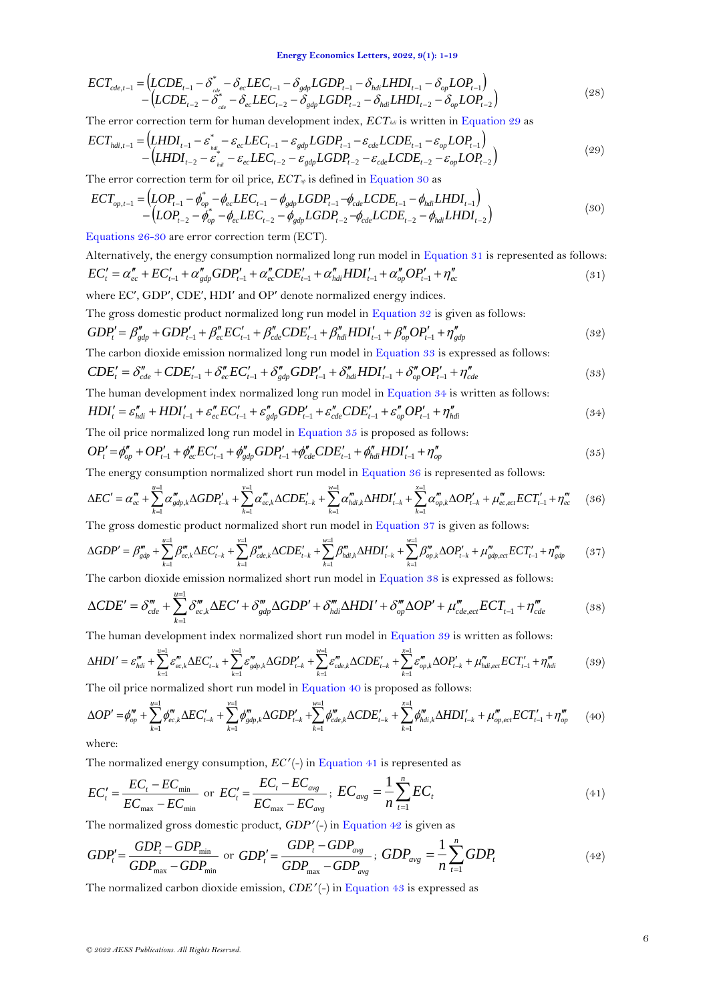$$
ECT_{cde,t-1} = (LCDE_{t-1} - \delta_{cde}^* - \delta_{ec} LEC_{t-1} - \delta_{gdp} LGDP_{t-1} - \delta_{hdi} LHDI_{t-1} - \delta_{op} LOP_{t-1})
$$
  
- (LCDE<sub>t-2</sub> - \delta\_{de}^\* - \delta\_{ec} LEC\_{t-2} - \delta\_{gdp} LGDP\_{t-2} - \delta\_{hdi} LHDI\_{t-2} - \delta\_{op} LOP\_{t-2}) (28)

The error correction term for human development index,  $ECT<sub>hdi</sub>$  is written in [Equation 29](#page-5-0) as

<span id="page-5-0"></span>
$$
ECT_{hdi,t-1} = (LHDI_{t-1} - \varepsilon_{hdi}^* - \varepsilon_{ec} LEC_{t-1} - \varepsilon_{gdp} LGDP_{t-1} - \varepsilon_{cde} LCDE_{t-1} - \varepsilon_{op} LOP_{t-1})
$$
  
-  $(LHDI_{t-2} - \varepsilon_{hdi}^* - \varepsilon_{ec} LEC_{t-2} - \varepsilon_{gdp} LGDP_{t-2} - \varepsilon_{cde} LCDE_{t-2} - \varepsilon_{op} LOP_{t-2})$  (29)

The error correction term for oil price,  $ECT_{\varphi}$  is defined in [Equation 30](#page-5-1) as

<span id="page-5-1"></span>
$$
ECT_{op,t-1} = (LOP_{t-1} - \phi_{op}^* - \phi_{ec} LEC_{t-1} - \phi_{gdp} LGDP_{t-1} - \phi_{cde} LCDE_{t-1} - \phi_{hdi} LHDI_{t-1}) - (LOP_{t-2} - \phi_{op}^* - \phi_{ec} LEC_{t-2} - \phi_{gdp} LGDP_{t-2} - \phi_{cde} LCDE_{t-2} - \phi_{hdi} LHDI_{t-2})
$$
\n(30)

[Equations 26-30](#page-4-10) are error correction term (ECT).

<span id="page-5-2"></span>Alternatively, the energy consumption normalized long run model in [Equation 31](#page-5-2) is represented as follows:  $FC_t' = \alpha_{ec}'' + EC_{t-1}' + \alpha_{gdp}''GDP_{t-1}' + \alpha_{ec}''CDE_{t-1}' + \alpha_{hdi}''HDI_{t-1}' + \alpha_{op}''OP_{t-1}' + \eta_{ec}''$ (31)

where EC', GDP', CDE', HDI' and OP' denote normalized energy indices.

The gross domestic product normalized long run model in [Equation 32](#page-5-3) is given as follows:

<span id="page-5-3"></span>
$$
GDP'_t = \beta''_{gdp} + GDP'_{t-1} + \beta''_{ee} EC'_{t-1} + \beta''_{cde} CDE'_{t-1} + \beta''_{hdi} HDI'_{t-1} + \beta''_{op} OP'_{t-1} + \eta''_{gdp}
$$
\n
$$
(32)
$$
\nThe example for using the following

<span id="page-5-4"></span>The carbon dioxide emission normalized long run model in [Equation 33](#page-5-4) is expressed as follows:

$$
CDE'_{i} = \delta''_{cde} + CDE'_{i-1} + \delta''_{ec}EC'_{i-1} + \delta''_{gdp}GDP'_{i-1} + \delta''_{hdi}HDI'_{i-1} + \delta''_{op}OP'_{i-1} + \eta''_{cde}
$$
\n(33)

<span id="page-5-5"></span>The human development index normalized long run model in [Equation 34](#page-5-5) is written as follows:

$$
HDI'_{t} = \varepsilon''_{hdi} + HDI'_{t-1} + \varepsilon''_{ec} EC'_{t-1} + \varepsilon''_{gdp} GDP'_{t-1} + \varepsilon''_{cde} CDE'_{t-1} + \varepsilon''_{op} OP'_{t-1} + \eta''_{hdi}
$$
\n(34)

<span id="page-5-6"></span>The oil price normalized long run model in [Equation 35](#page-5-6) is proposed as follows:

$$
OP'_{t} = \phi''_{op} + OP'_{t-1} + \phi''_{ec} EC'_{t-1} + \phi''_{gdp} GDP'_{t-1} + \phi''_{cde} CDE'_{t-1} + \phi''_{hdi} HDI'_{t-1} + \eta''_{op}
$$
\n(35)

<span id="page-5-7"></span>The energy consumption normalized short run model in Equation  $36$  is represented as follows:

$$
\Delta EC' = \alpha_{ec}''' + \sum_{k=1}^{\infty} \alpha_{gdp,k}''' \Delta GDP'_{t-k} + \sum_{k=1}^{\infty} \alpha_{ec,k}''' \Delta CDE'_{t-k} + \sum_{k=1}^{\infty} \alpha_{hdi,k}''' \Delta HDI'_{t-k} + \sum_{k=1}^{\infty} \alpha_{op,k}''' \Delta OP'_{t-k} + \mu_{ec,ec}''' ECT'_{t-1} + \eta_{ec}''' \tag{36}
$$

The gross domestic product normalized short run model in [Equation 37](#page-5-8) is given as follows:

<span id="page-5-8"></span>
$$
\Delta GDP' = \beta_{gdp}''' + \sum_{k=1}^{\mu=1} \beta_{ec,k}'' \Delta EC_{t-k}' + \sum_{k=1}^{\nu=1} \beta_{cde,k}''' \Delta CDE_{t-k}' + \sum_{k=1}^{\nu=1} \beta_{hdi,k}'' \Delta HDI_{t-k}' + \sum_{k=1}^{\nu=1} \beta_{op,k}'' \Delta OP_{t-k}' + \mu_{gdp,ec}''' ECT_{t-1}' + \eta_{gdp}''' \tag{37}
$$

<span id="page-5-9"></span>The carbon dioxide emission normalized short run model in [Equation 38](#page-5-9) is expressed as follows:

$$
\Delta CDE' = \delta_{cde}''' + \sum_{k=1}^{u=1} \delta_{ec,k}''' \Delta EC' + \delta_{gdp}''' \Delta GDP' + \delta_{hdi}''' \Delta HDI' + \delta_{op}''' \Delta OP' + \mu_{cde,ect}''' ECT_{t-1} + \eta_{cde}'''
$$
 (38)

The human development index normalized short run model in [Equation 39](#page-5-10) is written as follows:

<span id="page-5-10"></span>
$$
\Delta HDI' = \varepsilon_{hdi}^m + \sum_{k=1}^{u-1} \varepsilon_{ec,k}^m \Delta EC_{t-k}' + \sum_{k=1}^{v-1} \varepsilon_{gdp,k}^m \Delta GDP_{t-k}' + \sum_{k=1}^{v-1} \varepsilon_{cde,k}^m \Delta CDE_{t-k}' + \sum_{k=1}^{v-1} \varepsilon_{op,k}^m \Delta OP_{t-k}' + \mu_{hdi,eci}^m ECT_{t-1}' + \eta_{hdi}^m \tag{39}
$$

<span id="page-5-11"></span>The oil price normalized short run model in [Equation 40](#page-5-11) is proposed as follows:

$$
\Delta OP' = \phi_{op}^m + \sum_{k=1}^{u=1} \phi_{ec,k}^m \Delta EC_{t-k}' + \sum_{k=1}^{v=1} \phi_{gdp,k}^m \Delta GDP_{t-k}' + \sum_{k=1}^{w=1} \phi_{cde,k}^m \Delta CDE_{t-k}' + \sum_{k=1}^{v=1} \phi_{hdi,k}^m \Delta HDI_{t-k}' + \mu_{op,ec}^m ECT_{t-1}' + \eta_{op}^m
$$
(40)

where:

<span id="page-5-15"></span><span id="page-5-12"></span>The normalized energy consumption,  $EC'$  (-) i[n Equation 41](#page-5-12) is represented as

$$
EC'_{t} = \frac{EC_{t} - EC_{\min}}{EC_{\max} - EC_{\min}} \text{ or } EC'_{t} = \frac{EC_{t} - EC_{\text{avg}}}{EC_{\max} - EC_{\text{avg}}} ; EC_{\text{avg}} = \frac{1}{n} \sum_{t=1}^{n} EC_{t}
$$
(41)

<span id="page-5-13"></span>The normalized gross domestic product, *GDP* (-) i[n Equation 42](#page-5-13) is given as

*© 2022 AESS Publications. All Rights Reserved.* max min min *GDP GDP GDP GDP GDP t <sup>t</sup>* or *avg t avg <sup>t</sup> GDP GDP GDP GDP GDP* max ; *n t avg GDP<sup>t</sup> n GDP* 1 1 (42)

<span id="page-5-14"></span>The normalized carbon dioxide emission, *CDE* (-) i[n Equation 43](#page-5-14) is expressed as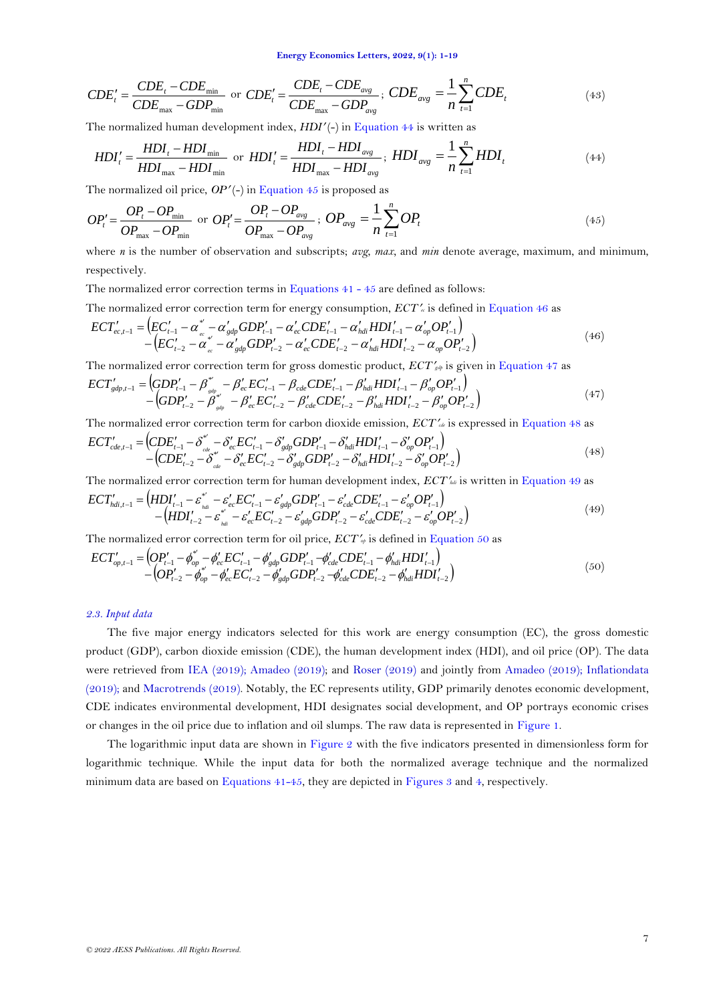$$
CDE'_{t} = \frac{CDE_{t} - CDE_{\min}}{CDE_{\max} - GDP_{\min}} \text{ or } CDE'_{t} = \frac{CDE_{t} - CDE_{avg}}{CDE_{\max} - GDP_{avg}}; CDE_{avg} = \frac{1}{n} \sum_{t=1}^{n} CDE_{t}
$$
(43)

The normalized human development index, *HDI'* (-) in [Equation 44](#page-6-0) is written as

<span id="page-6-1"></span><span id="page-6-0"></span>
$$
HDI'_{t} = \frac{HDI_{t} - HDI_{\min}}{HDI_{\max} - HDI_{\min}} \text{ or } HDI'_{t} = \frac{HDI_{t} - HDI_{avg}}{HDI_{\max} - HDI_{avg}}; \ HDI_{avg} = \frac{1}{n} \sum_{t=1}^{n} HDI_{t}
$$
(44)

The normalized oil price,  $OP'$ (-) i[n Equation 45](#page-6-1) is proposed as

$$
OP_t' = \frac{OP_t - OP_{\min}}{OP_{\max} - OP_{\min}} \text{ or } OP_t' = \frac{OP_t - OP_{\text{avg}}}{OP_{\max} - OP_{\text{avg}}} ; OP_{\text{avg}} = \frac{1}{n} \sum_{t=1}^n OP_t
$$
\n(45)

where *n* is the number of observation and subscripts; *avg*, *max,* and *min* denote average, maximum, and minimum, respectively.

The normalized error correction terms in Equations  $41 - 45$  are defined as follows:

The normalized error correction term for energy consumption, *ECT*<sup>*l<sub>e</sub>* is defined in [Equation 46](#page-6-2) as</sup>

<span id="page-6-2"></span>
$$
ECT'_{ec,t-1} = (EC'_{t-1} - \alpha^{*'}_{ce} - \alpha'_{gdp} GDP'_{t-1} - \alpha'_{ec} CDE'_{t-1} - \alpha'_{hdi} HDI'_{t-1} - \alpha'_{op} OP'_{t-1})
$$
  
-(EC'\_{t-2} - \alpha^{\*'}\_{ce} - \alpha'\_{gdp} GDP'\_{t-2} - \alpha'\_{ec} CDE'\_{t-2} - \alpha'\_{hdi} HDI'\_{t-2} - \alpha\_{op} OP'\_{t-2}) (46)

The normalized error correction term for gross domestic product,  $ECT'_{\text{gdp}}$  is given i[n Equation 47](#page-6-3) as

<span id="page-6-3"></span>
$$
ECT'_{gdp,t-1} = (GDP'_{t-1} - \beta''_{sdp} - \beta'_{ec} EC'_{t-1} - \beta_{cde} CDE'_{t-1} - \beta'_{hdi} HDI'_{t-1} - \beta'_{op} OP'_{t-1})
$$
  
-(GDP'\_{t-2} - \beta''\_{sdp} - \beta'\_{ec} EC'\_{t-2} - \beta'\_{cde} CDE'\_{t-2} - \beta'\_{hdi} HDI'\_{t-2} - \beta'\_{op} OP'\_{t-2}) \t\t(47)

The normalized error correction term for carbon dioxide emission, *ECTcde* is expressed in [Equation 48](#page-6-4) as

<span id="page-6-4"></span>
$$
ECT'_{cde,t-1} = (CDE'_{t-1} - \delta^{*'}_{cde} - \delta'_{ce}EC'_{t-1} - \delta'_{gdp}GDP'_{t-1} - \delta'_{hdi}HDI'_{t-1} - \delta'_{op}OP'_{t-1})
$$
  
-( $CDE'_{t-2} - \delta^{*'}_{cde} - \delta'_{ec}EC'_{t-2} - \delta'_{gdp}GDP'_{t-2} - \delta'_{hdi}HDI'_{t-2} - \delta'_{op}OP'_{t-2}$ ) (48)

The normalized error correction term for human development index, *ECThdi* is written in [Equation 49](#page-6-5) as

<span id="page-6-5"></span>
$$
ECT'_{hdi,t-1} = (HDI'_{t-1} - \varepsilon_{hdi}^* - \varepsilon_{ee'}^* EC'_{t-1} - \varepsilon_{gdp}'GDP'_{t-1} - \varepsilon_{cde}'CDE'_{t-1} - \varepsilon_{op}'OP'_{t-1})
$$
  
- 
$$
(HDI'_{t-2} - \varepsilon_{hdi}^* - \varepsilon_{ee}'EC'_{t-2} - \varepsilon_{gdp}'GDP'_{t-2} - \varepsilon_{cde}'CDE'_{t-2} - \varepsilon_{op}'OP'_{t-2})
$$
 (49)

<span id="page-6-6"></span>The normalized error correction term for oil price,  $ECT'_{\varphi}$  is defined in [Equation 50](#page-6-6) as

$$
ECT'_{op,t-1} = (OP'_{t-1} - \phi''_{op} - \phi'_{ec} EC'_{t-1} - \phi'_{gdp} GDP'_{t-1} - \phi'_{cde} CDE'_{t-1} - \phi'_{hdi} HDI'_{t-1})
$$
  
-
$$
-(OP'_{t-2} - \phi''_{op} - \phi'_{ec} EC'_{t-2} - \phi'_{gdp} GDP'_{t-2} - \phi'_{cde} CDE'_{t-2} - \phi'_{hdi} HDI'_{t-2})
$$
\n
$$
(50)
$$

### *2.3. Input data*

The five major energy indicators selected for this work are energy consumption (EC), the gross domestic product (GDP), carbon dioxide emission (CDE), the human development index (HDI), and oil price (OP). The data were retrieved from [IEA \(2019\)](#page-17-16); [Amadeo \(2019\)](#page-16-4); and [Roser \(2019\)](#page-17-17) and jointly from [Amadeo \(2019\)](#page-16-4); [Inflationdata](#page-17-18)  [\(2019\)](#page-17-18); and [Macrotrends \(2019\)](#page-17-19). Notably, the EC represents utility, GDP primarily denotes economic development, CDE indicates environmental development, HDI designates social development, and OP portrays economic crises or changes in the oil price due to inflation and oil slumps. The raw data is represented in [Figure 1.](#page-7-0)

The logarithmic input data are shown in [Figure 2](#page-7-1) with the five indicators presented in dimensionless form for logarithmic technique. While the input data for both the normalized average technique and the normalized minimum data are based on [Equations 41-45,](#page-5-15) they are depicted i[n Figures 3](#page-7-2) an[d 4,](#page-8-0) respectively.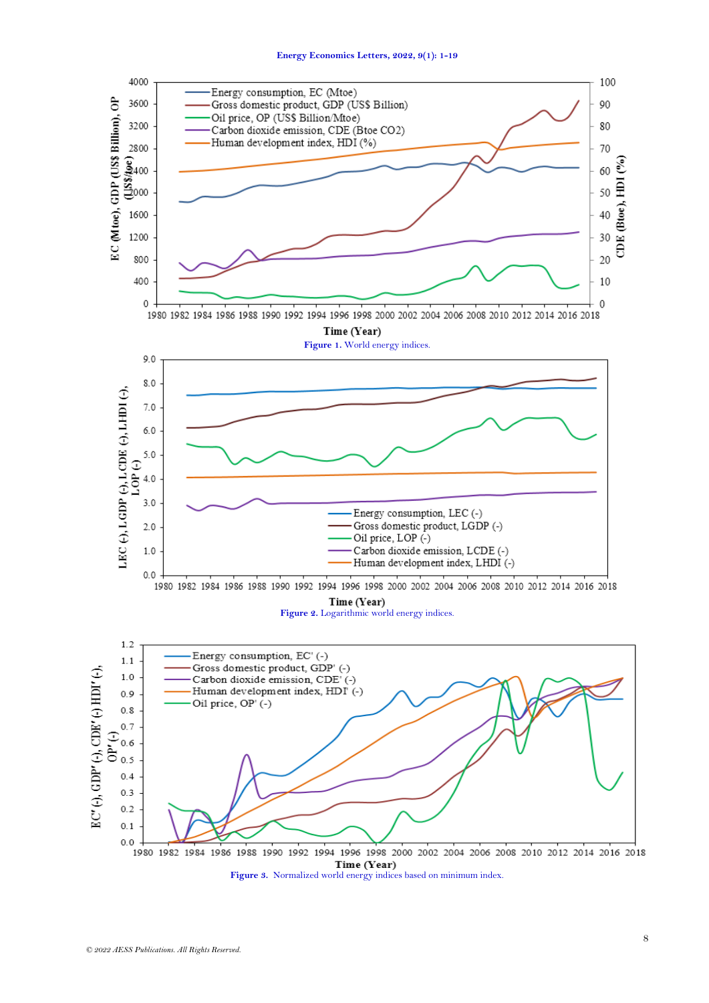<span id="page-7-2"></span><span id="page-7-1"></span><span id="page-7-0"></span>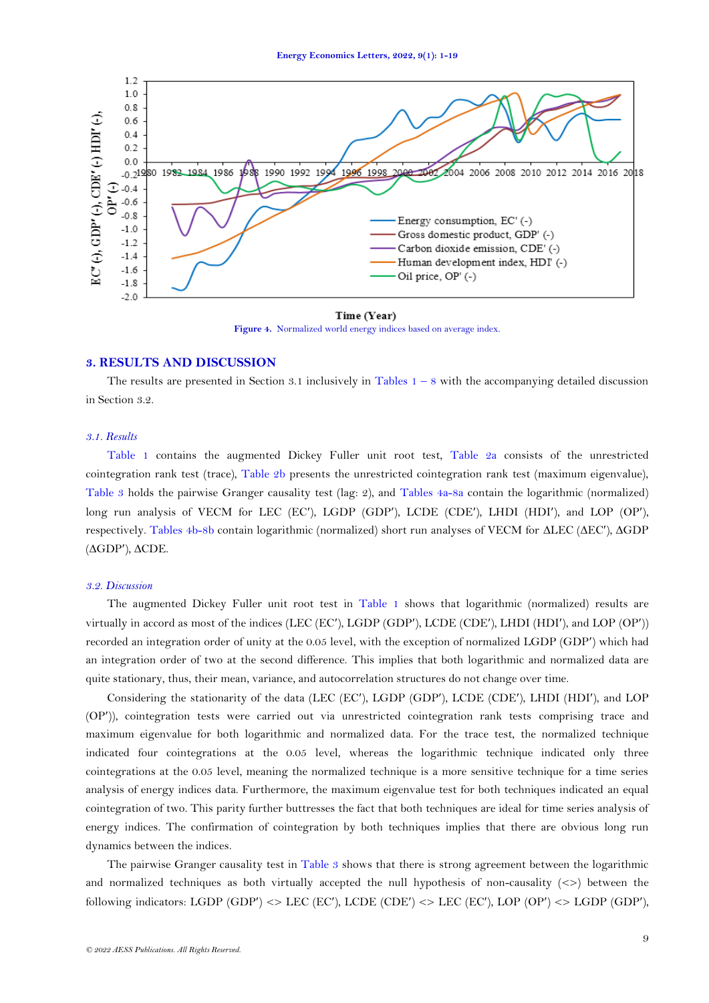

Time (Year) **Figure 4.** Normalized world energy indices based on average index.

## <span id="page-8-0"></span>**3. RESULTS AND DISCUSSION**

The results are presented in Section 3.1 inclusively in Tables  $1 - 8$  with the accompanying detailed discussion in Section 3.2.

## *3.1. Results*

[Table 1](#page-10-0) contains the augmented Dickey Fuller unit root test, [Table 2a](#page-10-1) consists of the unrestricted cointegration rank test (trace), Table 2b presents the unrestricted cointegration rank test (maximum eigenvalue), [Table 3](#page-11-0) holds the pairwise Granger causality test (lag: 2), and [Tables 4a-8a](#page-12-0) contain the logarithmic (normalized) long run analysis of VECM for LEC (EC'), LGDP (GDP'), LCDE (CDE'), LHDI (HDI'), and LOP (OP'), respectively. Tables 4b-8b contain logarithmic (normalized) short run analyses of VECM for  $\triangle$ LEC ( $\triangle$ EC'),  $\triangle$ GDP  $(\Delta GDP')$ ,  $\Delta CDE$ .

### *3.2. Discussion*

The augmented Dickey Fuller unit root test in [Table 1](#page-10-0) shows that logarithmic (normalized) results are virtually in accord as most of the indices (LEC (EC), LGDP (GDP), LCDE (CDE), LHDI (HDI), and LOP (OP)) recorded an integration order of unity at the 0.05 level, with the exception of normalized LGDP (GDP) which had an integration order of two at the second difference. This implies that both logarithmic and normalized data are quite stationary, thus, their mean, variance, and autocorrelation structures do not change over time.

Considering the stationarity of the data (LEC (EC'), LGDP (GDP'), LCDE (CDE'), LHDI (HDI'), and LOP (OP)), cointegration tests were carried out via unrestricted cointegration rank tests comprising trace and maximum eigenvalue for both logarithmic and normalized data. For the trace test, the normalized technique indicated four cointegrations at the 0.05 level, whereas the logarithmic technique indicated only three cointegrations at the 0.05 level, meaning the normalized technique is a more sensitive technique for a time series analysis of energy indices data. Furthermore, the maximum eigenvalue test for both techniques indicated an equal cointegration of two. This parity further buttresses the fact that both techniques are ideal for time series analysis of energy indices. The confirmation of cointegration by both techniques implies that there are obvious long run dynamics between the indices.

The pairwise Granger causality test in [Table 3](#page-11-0) shows that there is strong agreement between the logarithmic and normalized techniques as both virtually accepted the null hypothesis of non-causality  $\langle \langle \rangle \rangle$  between the following indicators: LGDP (GDP') <> LEC (EC'), LCDE (CDE') <> LEC (EC'), LOP (OP') <> LGDP (GDP'),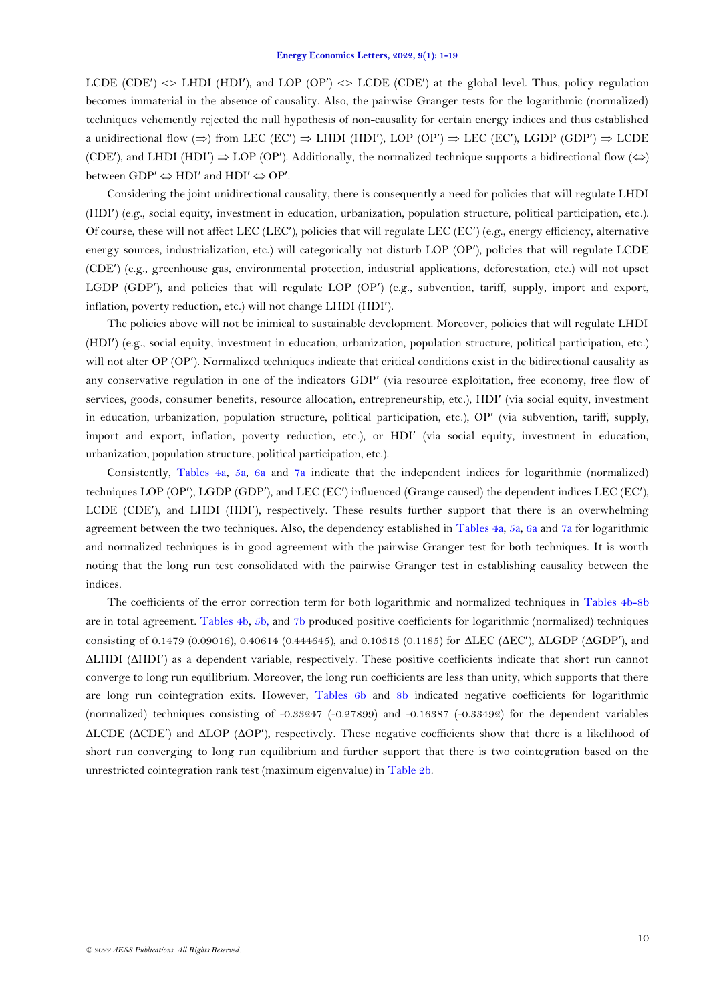LCDE (CDE')  $\langle$  LHDI (HDI'), and LOP (OP')  $\langle$  LCDE (CDE') at the global level. Thus, policy regulation becomes immaterial in the absence of causality. Also, the pairwise Granger tests for the logarithmic (normalized) techniques vehemently rejected the null hypothesis of non-causality for certain energy indices and thus established a unidirectional flow  $(\Rightarrow)$  from LEC (EC')  $\Rightarrow$  LHDI (HDI'), LOP (OP')  $\Rightarrow$  LEC (EC'), LGDP (GDP')  $\Rightarrow$  LCDE (CDE'), and LHDI (HDI')  $\Rightarrow$  LOP (OP'). Additionally, the normalized technique supports a bidirectional flow ( $\Leftrightarrow$ ) between  $GDP' \Leftrightarrow HDI'$  and  $HDI' \Leftrightarrow OP'$ .

Considering the joint unidirectional causality, there is consequently a need for policies that will regulate LHDI (HDI) (e.g., social equity, investment in education, urbanization, population structure, political participation, etc.). Of course, these will not affect LEC (LEC), policies that will regulate LEC (EC) (e.g., energy efficiency, alternative energy sources, industrialization, etc.) will categorically not disturb LOP (OP), policies that will regulate LCDE (CDE) (e.g., greenhouse gas, environmental protection, industrial applications, deforestation, etc.) will not upset LGDP (GDP'), and policies that will regulate LOP (OP') (e.g., subvention, tariff, supply, import and export, inflation, poverty reduction, etc.) will not change LHDI (HDI).

The policies above will not be inimical to sustainable development. Moreover, policies that will regulate LHDI (HDI) (e.g., social equity, investment in education, urbanization, population structure, political participation, etc.) will not alter OP (OP'). Normalized techniques indicate that critical conditions exist in the bidirectional causality as any conservative regulation in one of the indicators GDP (via resource exploitation, free economy, free flow of services, goods, consumer benefits, resource allocation, entrepreneurship, etc.), HDI' (via social equity, investment in education, urbanization, population structure, political participation, etc.), OP (via subvention, tariff, supply, import and export, inflation, poverty reduction, etc.), or HDI' (via social equity, investment in education, urbanization, population structure, political participation, etc.).

Consistently, [Tables 4a,](#page-12-0) [5a,](#page-12-1) [6a](#page-13-0) and [7a](#page-14-0) indicate that the independent indices for logarithmic (normalized) techniques LOP (OP), LGDP (GDP), and LEC (EC) influenced (Grange caused) the dependent indices LEC (EC), LCDE (CDE), and LHDI (HDI), respectively. These results further support that there is an overwhelming agreement between the two techniques. Also, the dependency established in [Tables 4a,](#page-12-0) [5a,](#page-12-1) [6a](#page-13-0) and [7a](#page-14-0) for logarithmic and normalized techniques is in good agreement with the pairwise Granger test for both techniques. It is worth noting that the long run test consolidated with the pairwise Granger test in establishing causality between the indices.

The coefficients of the error correction term for both logarithmic and normalized techniques in [Tables 4b-8b](#page-12-2) are in total agreement. [Tables 4b,](#page-12-2) [5b,](#page-13-1) and [7b](#page-14-1) produced positive coefficients for logarithmic (normalized) techniques consisting of 0.1479 (0.09016), 0.40614 (0.444645), and 0.10313 (0.1185) for  $\triangle$ LEC ( $\triangle$ EC'),  $\triangle$ LGDP ( $\triangle$ GDP'), and LHDI (HDI) as a dependent variable, respectively. These positive coefficients indicate that short run cannot converge to long run equilibrium. Moreover, the long run coefficients are less than unity, which supports that there are long run cointegration exits. However, [Tables 6b](#page-13-2) and [8b](#page-15-0) indicated negative coefficients for logarithmic (normalized) techniques consisting of -0.33247 (-0.27899) and -0.16387 (-0.33492) for the dependent variables  $\triangle$ LCDE ( $\triangle$ CDE') and  $\triangle$ LOP ( $\triangle$ OP'), respectively. These negative coefficients show that there is a likelihood of short run converging to long run equilibrium and further support that there is two cointegration based on the unrestricted cointegration rank test (maximum eigenvalue) in Table 2b.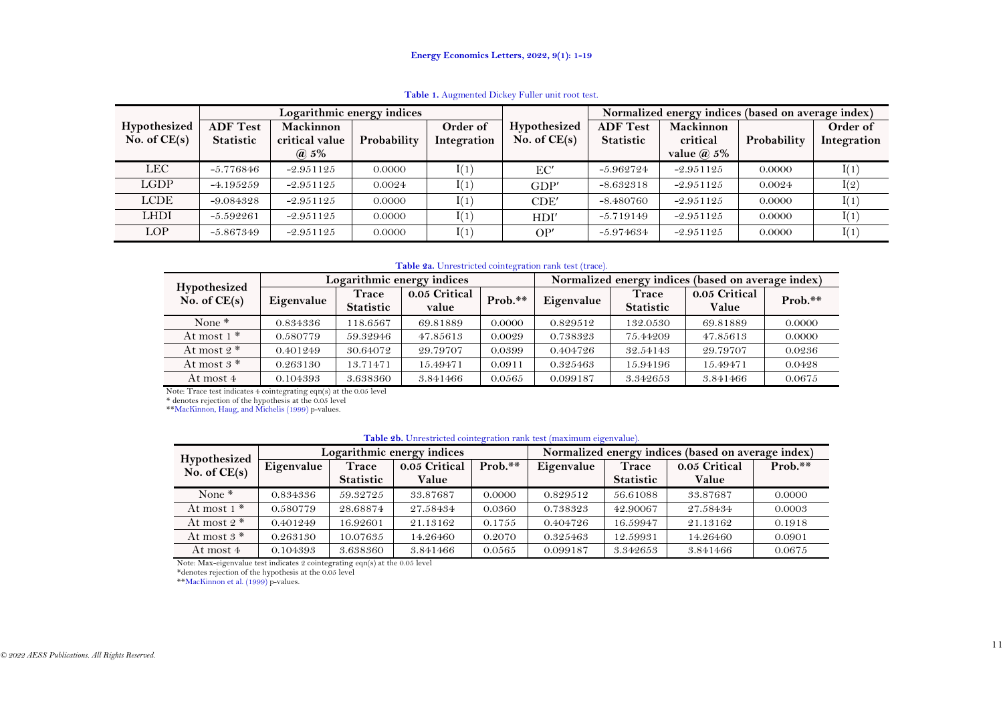|                |                 | Logarithmic energy indices |             |             |                | Normalized energy indices (based on average index) |                   |             |             |  |
|----------------|-----------------|----------------------------|-------------|-------------|----------------|----------------------------------------------------|-------------------|-------------|-------------|--|
| Hypothesized   | <b>ADF Test</b> | Mackinnon                  |             | Order of    | Hypothesized   | <b>ADF</b> Test                                    | Mackinnon         |             | Order of    |  |
| No. of $CE(s)$ | Statistic       | critical value             | Probability | Integration | No. of $CE(s)$ | <b>Statistic</b>                                   | critical          | Probability | Integration |  |
|                |                 | $\omega$ 5%                |             |             |                |                                                    | value $\omega$ 5% |             |             |  |
| <b>LEC</b>     | $-5.776846$     | $-2.951125$                | 0.0000      | I(1)        | EC'            | $-5.962724$                                        | $-2.951125$       | 0.0000      | I(1)        |  |
| LGDP           | $-4.195259$     | $-2.951125$                | 0.0024      | I(1)        | GDP'           | $-8.632318$                                        | $-2.951125$       | 0.0024      | I(2)        |  |
| <b>LCDE</b>    | $-9.084328$     | $-2.951125$                | 0.0000      | I(1)        | CDF'           | $-8.480760$                                        | $-2.951125$       | 0.0000      | I(1)        |  |
| <b>LHDI</b>    | $-5.592261$     | $-2.951125$                | 0.0000      | I(1)        | HDI'           | $-5.719149$                                        | $-2.951125$       | 0.0000      | I(1)        |  |
| LOP            | $-5.867349$     | $-2.951125$                | 0.0000      | I(1)        | OP'            | $-5.974634$                                        | $-2.951125$       | 0.0000      | I(1)        |  |

**Table 1.** Augmented Dickey Fuller unit root test.

#### **Table 2a.** Unrestricted cointegration rank test (trace).

|                                |            |                           | Logarithmic energy indices |         | Normalized energy indices (based on average index) |                           |                        |           |  |  |
|--------------------------------|------------|---------------------------|----------------------------|---------|----------------------------------------------------|---------------------------|------------------------|-----------|--|--|
| Hypothesized<br>No. of $CE(s)$ | Eigenvalue | Trace<br><b>Statistic</b> | 0.05 Critical<br>value     | Prob.** | Eigenvalue                                         | Trace<br><b>Statistic</b> | 0.05 Critical<br>Value | $Prob.**$ |  |  |
| None $*$                       | 0.834336   | 118.6567                  | 69.81889                   | 0.0000  | 0.829512                                           | 132.0530                  | 69.81889               | 0.0000    |  |  |
| At most $1^*$                  | 0.580779   | 59.32946                  | 47.85613                   | 0.0029  | 0.738323                                           | 75.44209                  | 47.85613               | 0.0000    |  |  |
| At most $2^*$                  | 0.401249   | 30.64072                  | 29.79707                   | 0.0399  | 0.404726                                           | 32.54143                  | 29.79707               | 0.0236    |  |  |
| At most $3$ *                  | 0.263130   | 13.71471                  | 15.49471                   | 0.0911  | 0.325463                                           | 15.94196                  | 15.49471               | 0.0428    |  |  |
| At most 4                      | 0.104393   | 3.638360                  | 3.841466                   | 0.0565  | 0.099187                                           | 3.342653                  | 3.841466               | 0.0675    |  |  |

<span id="page-10-0"></span>Note: Trace test indicates 4 cointegrating eqn(s) at the 0.05 level

\* denotes rejection of the hypothesis at the 0.05 level

\*[\\*MacKinnon, Haug, and Michelis \(1999\)](#page-17-20) p-values.

#### **Table 2b.** Unrestricted cointegration rank test (maximum eigenvalue).

|                                |            |                  | Logarithmic energy indices |           | Normalized energy indices (based on average index) |                  |               |           |  |  |
|--------------------------------|------------|------------------|----------------------------|-----------|----------------------------------------------------|------------------|---------------|-----------|--|--|
| Hypothesized<br>No. of $CE(s)$ | Eigenvalue | Trace            | 0.05 Critical              | $Prob.**$ | Eigenvalue                                         | Trace            | 0.05 Critical | $Prob.**$ |  |  |
|                                |            | <b>Statistic</b> | Value                      |           |                                                    | <b>Statistic</b> | Value         |           |  |  |
| None $*$                       | 0.834336   | 59.32725         | 33.87687                   | 0.0000    | 0.829512                                           | 56.61088         | 33.87687      | 0.0000    |  |  |
| At most $1^*$                  | 0.580779   | 28.68874         | 27.58434                   | 0.0360    | 0.738323                                           | 42.90067         | 27.58434      | 0.0003    |  |  |
| At most $2^*$                  | 0.401249   | 16.92601         | 21.13162                   | 0.1755    | 0.404726                                           | 16.59947         | 21.13162      | 0.1918    |  |  |
| At most $3^*$                  | 0.263130   | 10.07635         | 14.26460                   | 0.2070    | 0.325463                                           | 12.59931         | 14.26460      | 0.0901    |  |  |
| At most 4                      | 0.104393   | 3.638360         | 3.841466                   | 0.0565    | 0.099187                                           | 3.342653         | 3.841466      | 0.0675    |  |  |

<span id="page-10-1"></span>Note: Max-eigenvalue test indicates 2 cointegrating eqn(s) at the 0.05 level

\*denotes rejection of the hypothesis at the 0.05 level

\*[\\*MacKinnon et al. \(1999\)](#page-17-20) p-values.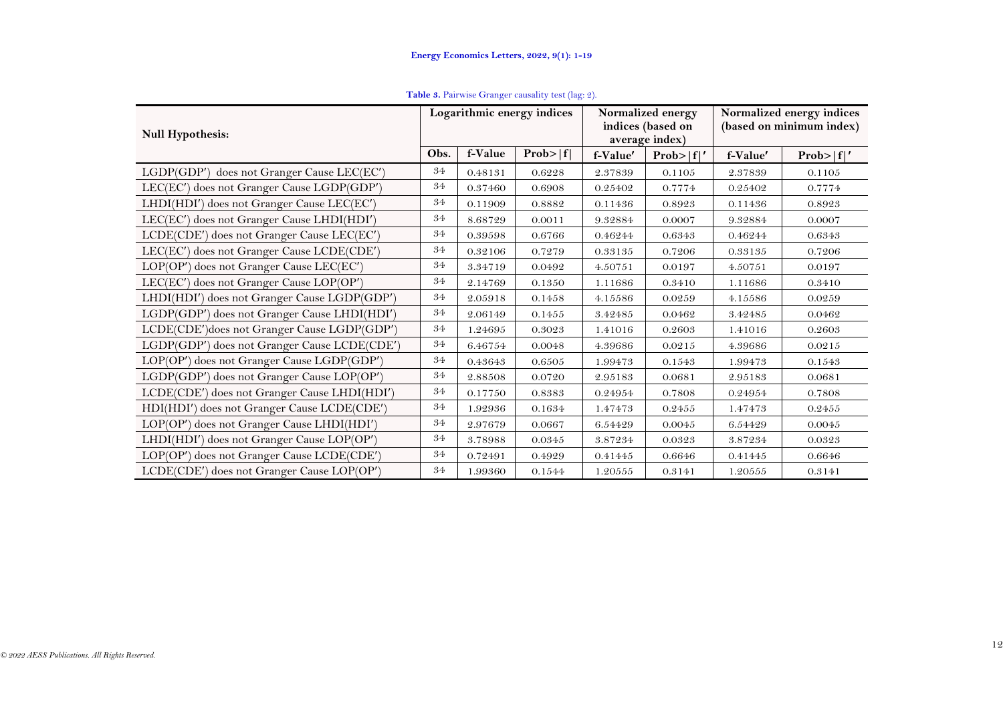| <b>Table 3.</b> Pairwise Granger causality test (lag: 2). |  |  |  |
|-----------------------------------------------------------|--|--|--|
|                                                           |  |  |  |

<span id="page-11-0"></span>

| <b>Null Hypothesis:</b>                      |      |         | Logarithmic energy indices |          | Normalized energy<br>indices (based on<br>average index) | Normalized energy indices<br>(based on minimum index) |           |
|----------------------------------------------|------|---------|----------------------------|----------|----------------------------------------------------------|-------------------------------------------------------|-----------|
|                                              | Obs. | f-Value | Prob> f                    | f-Value' | Prob> f '                                                | f-Value'                                              | Prob> f ' |
| LGDP(GDP') does not Granger Cause LEC(EC')   | 34   | 0.48131 | 0.6228                     | 2.37839  | 0.1105                                                   | 2.37839                                               | 0.1105    |
| LEC(EC') does not Granger Cause LGDP(GDP')   | 34   | 0.37460 | 0.6908                     | 0.25402  | 0.7774                                                   | 0.25402                                               | 0.7774    |
| LHDI(HDI') does not Granger Cause LEC(EC')   | 34   | 0.11909 | 0.8882                     | 0.11436  | 0.8923                                                   | 0.11436                                               | 0.8923    |
| LEC(EC') does not Granger Cause LHDI(HDI')   | 34   | 8.68729 | 0.0011                     | 9.32884  | 0.0007                                                   | 9.32884                                               | 0.0007    |
| LCDE(CDE') does not Granger Cause LEC(EC')   | 34   | 0.39598 | 0.6766                     | 0.46244  | 0.6343                                                   | 0.46244                                               | 0.6343    |
| LEC(EC') does not Granger Cause LCDE(CDE')   | 34   | 0.32106 | 0.7279                     | 0.33135  | 0.7206                                                   | 0.33135                                               | 0.7206    |
| LOP(OP') does not Granger Cause LEC(EC')     | 34   | 3.34719 | 0.0492                     | 4.50751  | 0.0197                                                   | 4.50751                                               | 0.0197    |
| LEC(EC') does not Granger Cause LOP(OP')     | 34   | 2.14769 | 0.1350                     | 1.11686  | 0.3410                                                   | 1.11686                                               | 0.3410    |
| LHDI(HDI') does not Granger Cause LGDP(GDP') | 34   | 2.05918 | 0.1458                     | 4.15586  | 0.0259                                                   | 4.15586                                               | 0.0259    |
| LGDP(GDP') does not Granger Cause LHDI(HDI') | 34   | 2.06149 | 0.1455                     | 3.42485  | 0.0462                                                   | 3.42485                                               | 0.0462    |
| LCDE(CDE')does not Granger Cause LGDP(GDP')  | 34   | 1.24695 | 0.3023                     | 1.41016  | 0.2603                                                   | 1.41016                                               | 0.2603    |
| LGDP(GDP') does not Granger Cause LCDE(CDE') | 34   | 6.46754 | 0.0048                     | 4.39686  | 0.0215                                                   | 4.39686                                               | 0.0215    |
| LOP(OP') does not Granger Cause LGDP(GDP')   | 34   | 0.43643 | 0.6505                     | 1.99473  | 0.1543                                                   | 1.99473                                               | 0.1543    |
| LGDP(GDP') does not Granger Cause LOP(OP')   | 34   | 2.88508 | 0.0720                     | 2.95183  | 0.0681                                                   | 2.95183                                               | 0.0681    |
| LCDE(CDE') does not Granger Cause LHDI(HDI') | 34   | 0.17750 | 0.8383                     | 0.24954  | 0.7808                                                   | 0.24954                                               | 0.7808    |
| HDI(HDI') does not Granger Cause LCDE(CDE')  | 34   | 1.92936 | 0.1634                     | 1.47473  | 0.2455                                                   | 1.47473                                               | 0.2455    |
| LOP(OP') does not Granger Cause LHDI(HDI')   | 34   | 2.97679 | 0.0667                     | 6.54429  | 0.0045                                                   | 6.54429                                               | 0.0045    |
| LHDI(HDI') does not Granger Cause LOP(OP')   | 34   | 3.78988 | 0.0345                     | 3.87234  | 0.0323                                                   | 3.87234                                               | 0.0323    |
| LOP(OP') does not Granger Cause LCDE(CDE')   | 34   | 0.72491 | 0.4929                     | 0.41445  | 0.6646                                                   | 0.41445                                               | 0.6646    |
| LCDE(CDE') does not Granger Cause LOP(OP')   | 34   | 1.99360 | 0.1544                     | 1.20555  | 0.3141                                                   | 1.20555                                               | 0.3141    |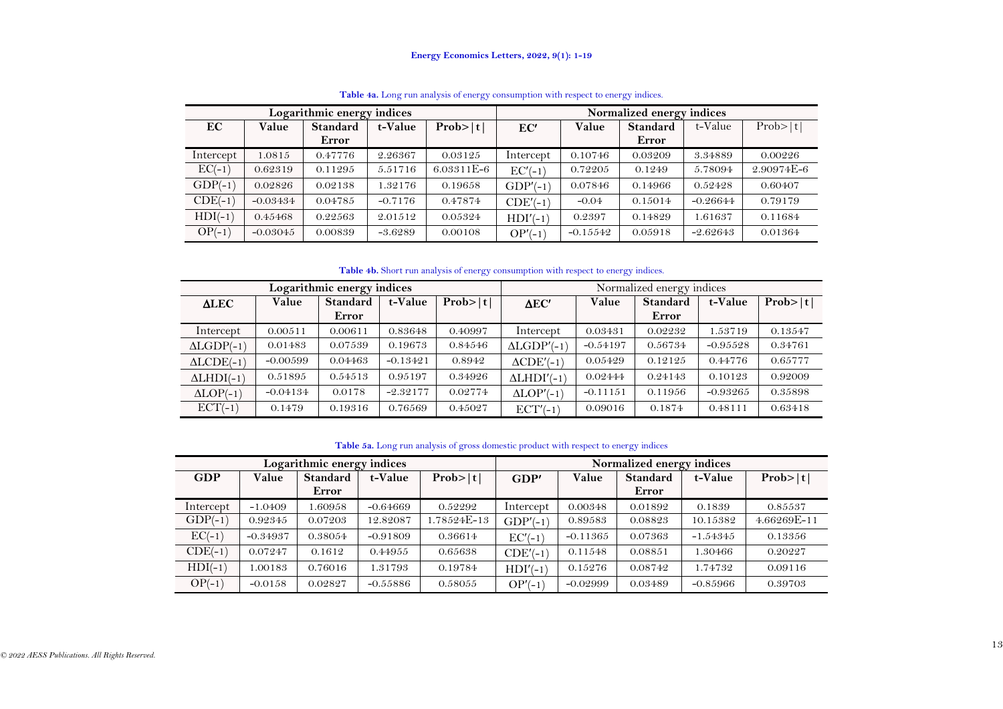|           |            | Logarithmic energy indices |           |            | Normalized energy indices |            |                 |            |            |  |
|-----------|------------|----------------------------|-----------|------------|---------------------------|------------|-----------------|------------|------------|--|
| EC        | Value      | <b>Standard</b>            | t-Value   | Prob> t    | EC'                       | Value      | <b>Standard</b> | t-Value    | Prob> t    |  |
|           |            | Error                      |           |            |                           |            | Error           |            |            |  |
| Intercept | 1.0815     | 0.47776                    | 2.26367   | 0.03125    | Intercept                 | 0.10746    | 0.03209         | 3.34889    | 0.00226    |  |
| $EC(-1)$  | 0.62319    | 0.11295                    | 5.51716   | 6.03311E-6 | $EC'(-1)$                 | 0.72205    | 0.1249          | 5.78094    | 2.90974E-6 |  |
| $GDP(-1)$ | 0.02826    | 0.02138                    | 1.32176   | 0.19658    | $GDP'(-1)$                | 0.07846    | 0.14966         | 0.52428    | 0.60407    |  |
| $CDE(-1)$ | $-0.03434$ | 0.04785                    | $-0.7176$ | 0.47874    | $CDE'(-1)$                | $-0.04$    | 0.15014         | $-0.26644$ | 0.79179    |  |
| $HDI(-1)$ | 0.45468    | 0.22563                    | 2.01512   | 0.05324    | $HDI'(-1)$                | 0.2397     | 0.14829         | 1.61637    | 0.11684    |  |
| $OP(-1)$  | $-0.03045$ | 0.00839                    | $-3.6289$ | 0.00108    | $OP'(-1)$                 | $-0.15542$ | 0.05918         | $-2.62643$ | 0.01364    |  |

**Table 4a.** Long run analysis of energy consumption with respect to energy indices.

**Table 4b.** Short run analysis of energy consumption with respect to energy indices.

|                   |            | Logarithmic energy indices |            |         | Normalized energy indices |            |                 |            |         |  |
|-------------------|------------|----------------------------|------------|---------|---------------------------|------------|-----------------|------------|---------|--|
| <b>ALEC</b>       | Value      | Standard                   | t-Value    | Prob> t | $\Delta$ EC'              | Value      | <b>Standard</b> | t-Value    | Prob> t |  |
|                   |            | Error                      |            |         |                           |            | Error           |            |         |  |
| Intercept         | 0.00511    | 0.00611                    | 0.83648    | 0.40997 | Intercept                 | 0.03431    | 0.02232         | 1.53719    | 0.13547 |  |
| $ALGDP(-1)$       | 0.01483    | 0.07539                    | 0.19673    | 0.84546 | $ALGDP'(-1)$              | $-0.54197$ | 0.56734         | $-0.95528$ | 0.34761 |  |
| $ALCDE(-1)$       | $-0.00599$ | 0.04463                    | $-0.13421$ | 0.8942  | $\triangle CDE'(-1)$      | 0.05429    | 0.12125         | 0.44776    | 0.65777 |  |
| $\Delta LHDI(-1)$ | 0.51895    | 0.54513                    | 0.95197    | 0.34926 | $\Delta LHDI'(-1)$        | 0.02444    | 0.24143         | 0.10123    | 0.92009 |  |
| $ALOP(-1)$        | $-0.04134$ | 0.0178                     | $-2.32177$ | 0.02774 | $ALOP'(-1)$               | $-0.11151$ | 0.11956         | $-0.93265$ | 0.35898 |  |
| $ECT(-1)$         | 0.1479     | 0.19316                    | 0.76569    | 0.45027 | $ECT'(-1)$                | 0.09016    | 0.1874          | 0.48111    | 0.63418 |  |

**Table 5a.** Long run analysis of gross domestic product with respect to energy indices

<span id="page-12-2"></span><span id="page-12-1"></span><span id="page-12-0"></span>

|            |            | Logarithmic energy indices |            |             | Normalized energy indices |            |                 |            |             |  |  |
|------------|------------|----------------------------|------------|-------------|---------------------------|------------|-----------------|------------|-------------|--|--|
| <b>GDP</b> | Value      | <b>Standard</b>            | t-Value    | Prob> t     | GDP'                      | Value      | <b>Standard</b> | t-Value    | Prob> t     |  |  |
|            |            | Error                      |            |             |                           |            | Error           |            |             |  |  |
| Intercept  | $-1.0409$  | 1.60958                    | $-0.64669$ | 0.52292     | Intercept                 | 0.00348    | 0.01892         | 0.1839     | 0.85537     |  |  |
| $GDP(-1)$  | 0.92345    | 0.07203                    | 12.82087   | 1.78524E-13 | $GDP/-1$                  | 0.89583    | 0.08823         | 10.15382   | 4.66269E-11 |  |  |
| $EC(-1)$   | $-0.34937$ | 0.38054                    | $-0.91809$ | 0.36614     | $EC'(-1)$                 | $-0.11365$ | 0.07363         | $-1.54345$ | 0.13356     |  |  |
| $CDE(-1)$  | 0.07247    | 0.1612                     | 0.44955    | 0.65638     | $CDE'(-1)$                | 0.11548    | 0.08851         | 1.30466    | 0.20227     |  |  |
| $HDI(-1)$  | 1.00183    | 0.76016                    | 1.31793    | 0.19784     | $HDI'(-1)$                | 0.15276    | 0.08742         | 1.74732    | 0.09116     |  |  |
| $OP(-1)$   | $-0.0158$  | 0.02827                    | $-0.55886$ | 0.58055     | $OP'(-1)$                 | $-0.02999$ | 0.03489         | $-0.85966$ | 0.39703     |  |  |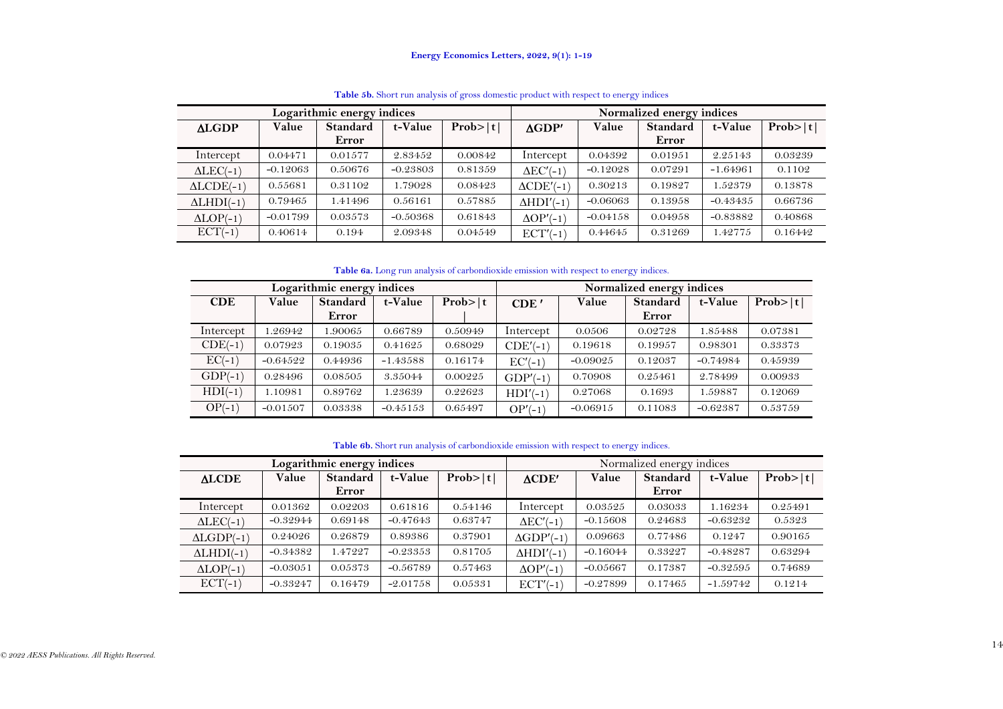|                   |            | Logarithmic energy indices |            |         | Normalized energy indices |            |                 |            |         |  |
|-------------------|------------|----------------------------|------------|---------|---------------------------|------------|-----------------|------------|---------|--|
| <b>ALGDP</b>      | Value      | <b>Standard</b>            | t-Value    | Prob> t | $\triangle$ GDP'          | Value      | <b>Standard</b> | t-Value    | Prob> t |  |
|                   |            | Error                      |            |         |                           |            | Error           |            |         |  |
| Intercept         | 0.04471    | 0.01577                    | 2.83452    | 0.00842 | Intercept                 | 0.04392    | 0.01951         | 2.25143    | 0.03239 |  |
| $\Delta LEC(-1)$  | $-0.12063$ | 0.50676                    | $-0.23803$ | 0.81359 | $\triangle$ EC'(-1)       | $-0.12028$ | 0.07291         | $-1.64961$ | 0.1102  |  |
| $ALCDE(-1)$       | 0.55681    | 0.31102                    | 1.79028    | 0.08423 | $\triangle CDE'(-1)$      | 0.30213    | 0.19827         | 1.52379    | 0.13878 |  |
| $\Delta LHDI(-1)$ | 0.79465    | 1.41496                    | 0.56161    | 0.57885 | $\Delta HDI'(-1)$         | $-0.06063$ | 0.13958         | $-0.43435$ | 0.66736 |  |
| $ALOP(-1)$        | $-0.01799$ | 0.03573                    | $-0.50368$ | 0.61843 | $\Delta$ OP'(-1           | $-0.04158$ | 0.04958         | $-0.83882$ | 0.40868 |  |
| $ECT(-1)$         | 0.40614    | 0.194                      | 2.09348    | 0.04549 | $ECT'(-1)$                | 0.44645    | 0.31269         | 1.42775    | 0.16442 |  |

**Table 5b.** Short run analysis of gross domestic product with respect to energy indices

**Table 6a.** Long run analysis of carbondioxide emission with respect to energy indices.

|            |            | Logarithmic energy indices |            |         | Normalized energy indices |            |                 |            |         |  |
|------------|------------|----------------------------|------------|---------|---------------------------|------------|-----------------|------------|---------|--|
| <b>CDE</b> | Value      | <b>Standard</b>            | t-Value    | Prob> t | CDF <sup>'</sup>          | Value      | <b>Standard</b> | t-Value    | Prob> t |  |
|            |            | Error                      |            |         |                           |            | Error           |            |         |  |
| Intercept  | .26942     | 1.90065                    | 0.66789    | 0.50949 | Intercept                 | 0.0506     | 0.02728         | 1.85488    | 0.07381 |  |
| $CDE(-1)$  | 0.07923    | 0.19035                    | 0.41625    | 0.68029 | $CDE'(-1)$                | 0.19618    | 0.19957         | 0.98301    | 0.33373 |  |
| $EC(-1)$   | $-0.64522$ | 0.44936                    | $-1.43588$ | 0.16174 | $EC'(-1)$                 | $-0.09025$ | 0.12037         | $-0.74984$ | 0.45939 |  |
| $GDP(-1)$  | 0.28496    | 0.08505                    | 3.35044    | 0.00225 | $GDP'(-1)$                | 0.70908    | 0.25461         | 2.78499    | 0.00933 |  |
| $HDI(-1)$  | 1.10981    | 0.89762                    | 1.23639    | 0.22623 | $HDI'(-1)$                | 0.27068    | 0.1693          | 1.59887    | 0.12069 |  |
| $OP(-1)$   | $-0.01507$ | 0.03338                    | $-0.45153$ | 0.65497 | $OP'(-1)$                 | $-0.06915$ | 0.11083         | $-0.62387$ | 0.53759 |  |

**Table 6b.** Short run analysis of carbondioxide emission with respect to energy indices.

<span id="page-13-2"></span><span id="page-13-1"></span><span id="page-13-0"></span>

|                     |            | Logarithmic energy indices |            |         | Normalized energy indices |            |                 |            |         |  |
|---------------------|------------|----------------------------|------------|---------|---------------------------|------------|-----------------|------------|---------|--|
| <b>ALCDE</b>        | Value      | <b>Standard</b>            | t-Value    | Prob> t | $\triangle$ CDE'          | Value      | <b>Standard</b> | t-Value    | Prob> t |  |
|                     |            | Error                      |            |         |                           |            | Error           |            |         |  |
| Intercept           | 0.01362    | 0.02203                    | 0.61816    | 0.54146 | Intercept                 | 0.03525    | 0.03033         | 1.16234    | 0.25491 |  |
| $\triangle LEC(-1)$ | $-0.32944$ | 0.69148                    | $-0.47643$ | 0.63747 | $\Delta$ EC'(-1)          | $-0.15608$ | 0.24683         | $-0.63232$ | 0.5323  |  |
| $ALGDP(-1)$         | 0.24026    | 0.26879                    | 0.89386    | 0.37901 | $\triangle$ GDP'(-1)      | 0.09663    | 0.77486         | 0.1247     | 0.90165 |  |
| $\Delta LHDI(-1)$   | $-0.34382$ | 1.47227                    | $-0.23353$ | 0.81705 | $\Delta HDI'(-1)$         | $-0.16044$ | 0.33227         | $-0.48287$ | 0.63294 |  |
| $ALOP(-1)$          | $-0.03051$ | 0.05373                    | $-0.56789$ | 0.57463 | $\Delta OP'(-1)$          | $-0.05667$ | 0.17387         | $-0.32595$ | 0.74689 |  |
| $ECT(-1)$           | $-0.33247$ | 0.16479                    | $-2.01758$ | 0.05331 | $ECT'(-1)$                | $-0.27899$ | 0.17465         | $-1.59742$ | 0.1214  |  |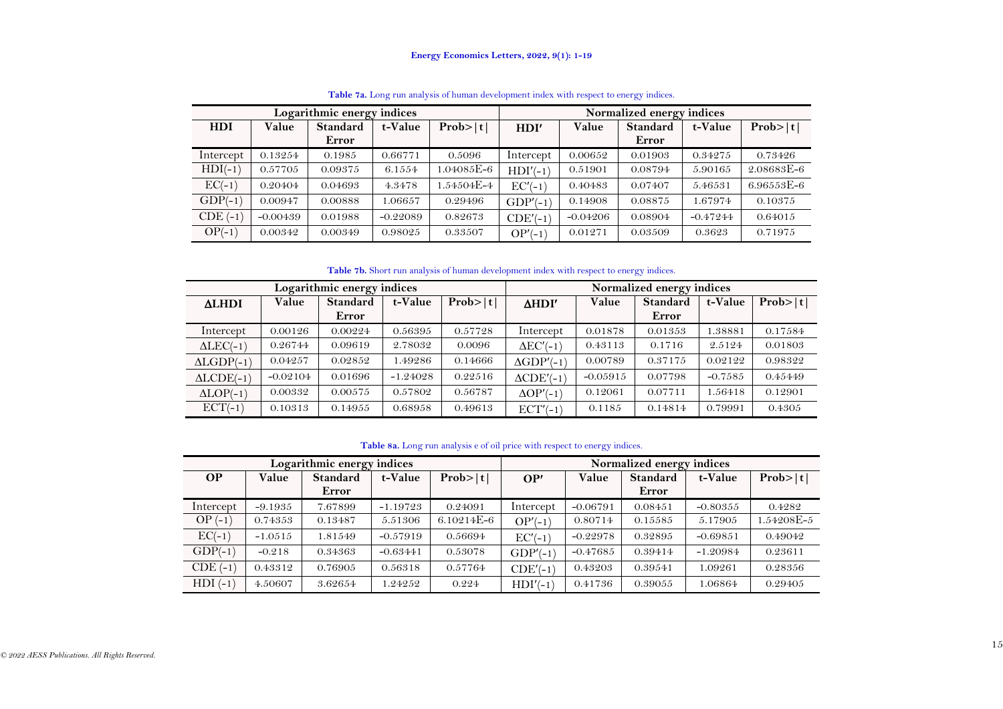|              |            | Logarithmic energy indices |            |            | Normalized energy indices |            |                 |            |            |  |
|--------------|------------|----------------------------|------------|------------|---------------------------|------------|-----------------|------------|------------|--|
| <b>HDI</b>   | Value      | <b>Standard</b>            | t-Value    | Prob> t    | HDI'                      | Value      | <b>Standard</b> | t-Value    | Prob> t    |  |
|              |            | Error                      |            |            |                           |            | Error           |            |            |  |
| Intercept    | 0.13254    | 0.1985                     | 0.66771    | 0.5096     | Intercept                 | 0.00652    | 0.01903         | 0.34275    | 0.73426    |  |
| $HDI(-1)$    | 0.57705    | 0.09375                    | 6.1554     | 1.04085E-6 | $HDI'(-1)$                | 0.51901    | 0.08794         | 5.90165    | 2.08683E-6 |  |
| $EC(-1)$     | 0.20404    | 0.04693                    | 4.3478     | .54504E-4  | $EC'(-1)$                 | 0.40483    | 0.07407         | 5.46531    | 6.96553E-6 |  |
| $GDP(-1)$    | 0.00947    | 0.00888                    | 1.06657    | 0.29496    | $GDP'(-1)$                | 0.14908    | 0.08875         | 1.67974    | 0.10375    |  |
| $CDE$ $(-1)$ | $-0.00439$ | 0.01988                    | $-0.22089$ | 0.82673    | $CDE'(-1)$                | $-0.04206$ | 0.08904         | $-0.47244$ | 0.64015    |  |
| $OP(-1)$     | 0.00342    | 0.00349                    | 0.98025    | 0.33507    | $OP'(-1)$                 | 0.01271    | 0.03509         | 0.3623     | 0.71975    |  |

**Table 7a.** Long run analysis of human development index with respect to energy indices.

**Table 7b.** Short run analysis of human development index with respect to energy indices.

| Logarithmic energy indices |            |                 |            | Normalized energy indices |                      |            |                 |           |         |
|----------------------------|------------|-----------------|------------|---------------------------|----------------------|------------|-----------------|-----------|---------|
| <b>ALHDI</b>               | Value      | <b>Standard</b> | t-Value    | Prob> t                   | $\Delta HDI'$        | Value      | <b>Standard</b> | t-Value   | Prob> t |
|                            |            | Error           |            |                           |                      |            | Error           |           |         |
| Intercept                  | 0.00126    | 0.00224         | 0.56395    | 0.57728                   | Intercept            | 0.01878    | 0.01353         | 1.38881   | 0.17584 |
| $\triangle LEC(-1)$        | 0.26744    | 0.09619         | 2.78032    | 0.0096                    | $\Delta$ EC'(-1)     | 0.43113    | 0.1716          | 2.5124    | 0.01803 |
| $ALGDP(-1)$                | 0.04257    | 0.02852         | 1.49286    | 0.14666                   | $\triangle$ GDP'(-1) | 0.00789    | 0.37175         | 0.02122   | 0.98322 |
| $ALCDE(-1)$                | $-0.02104$ | 0.01696         | $-1.24028$ | 0.22516                   | $\triangle CDE'(-1)$ | $-0.05915$ | 0.07798         | $-0.7585$ | 0.45449 |
| $\Delta \text{LOP}(-1)$    | 0.00332    | 0.00575         | 0.57802    | 0.56787                   | $\Delta$ OP'(-1)     | 0.12061    | 0.07711         | 1.56418   | 0.12901 |
| $ECT(-1)$                  | 0.10313    | 0.14955         | 0.68958    | 0.49613                   | $ECT'(-1)$           | 0.1185     | 0.14814         | 0.79991   | 0.4305  |

## **Table 8a.** Long run analysis e of oil price with respect to energy indices.

<span id="page-14-1"></span><span id="page-14-0"></span>

| Logarithmic energy indices |           |                 |            |            | Normalized energy indices |            |                 |            |            |  |
|----------------------------|-----------|-----------------|------------|------------|---------------------------|------------|-----------------|------------|------------|--|
| <b>OP</b>                  | Value     | <b>Standard</b> | t-Value    | Prob> t    | OP'                       | Value      | <b>Standard</b> | t-Value    | Prob> t    |  |
|                            |           | Error           |            |            |                           |            | Error           |            |            |  |
| Intercept                  | $-9.1935$ | 7.67899         | $-1.19723$ | 0.24091    | Intercept                 | $-0.06791$ | 0.08451         | $-0.80355$ | 0.4282     |  |
| $OP(-1)$                   | 0.74353   | 0.13487         | 5.51306    | 6.10214E-6 | $OP'(-1)$                 | 0.80714    | 0.15585         | 5.17905    | 1.54208E-5 |  |
| $EC(-1)$                   | $-1.0515$ | 1.81549         | $-0.57919$ | 0.56694    | $EC'(-1)$                 | $-0.22978$ | 0.32895         | $-0.69851$ | 0.49042    |  |
| $GDP(-1)$                  | $-0.218$  | 0.34363         | $-0.63441$ | 0.53078    | $GDP(-1)$                 | $-0.47685$ | 0.39414         | $-1.20984$ | 0.23611    |  |
| $CDE$ (-1)                 | 0.43312   | 0.76905         | 0.56318    | 0.57764    | $CDE'(-1)$                | 0.43203    | 0.39541         | 1.09261    | 0.28356    |  |
| $HDI(-1)$                  | 4.50607   | 3.62654         | 1.24252    | 0.224      | $HDI'(-1)$                | 0.41736    | 0.39055         | 1.06864    | 0.29405    |  |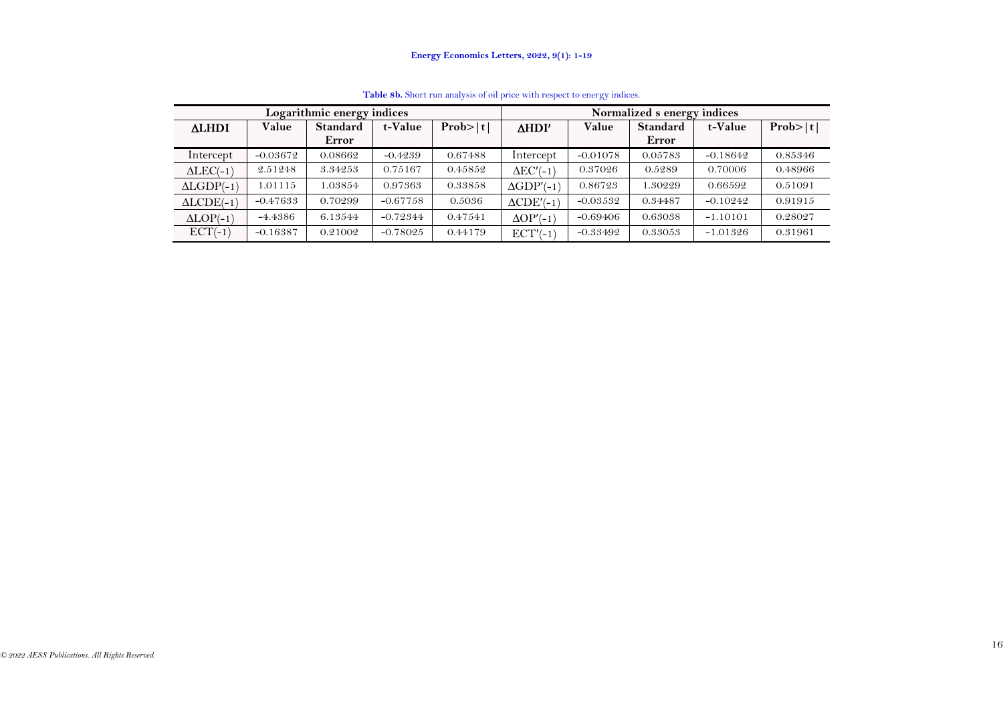<span id="page-15-0"></span>

| Logarithmic energy indices |            |                 |            | Normalized s energy indices |                      |            |                 |            |         |
|----------------------------|------------|-----------------|------------|-----------------------------|----------------------|------------|-----------------|------------|---------|
| <b>ALHDI</b>               | Value      | <b>Standard</b> | t-Value    | Prob> t                     | <b>AHDI'</b>         | Value      | <b>Standard</b> | t-Value    | Prob> t |
|                            |            | Error           |            |                             |                      |            | Error           |            |         |
| Intercept                  | $-0.03672$ | 0.08662         | $-0.4239$  | 0.67488                     | Intercept            | $-0.01078$ | 0.05783         | $-0.18642$ | 0.85346 |
| $\triangle LEC(-1)$        | 2.51248    | 3.34253         | 0.75167    | 0.45852                     | $\Delta$ EC'(-1)     | 0.37026    | 0.5289          | 0.70006    | 0.48966 |
| $ALGDP(-1)$                | 1.01115    | 1.03854         | 0.97363    | 0.33858                     | $\triangle GDP'(-1)$ | 0.86723    | 1.30229         | 0.66592    | 0.51091 |
| $ALCDE(-1)$                | $-0.47633$ | 0.70299         | $-0.67758$ | 0.5036                      | $\triangle CDE'(-1)$ | $-0.03532$ | 0.34487         | $-0.10242$ | 0.91915 |
| $ALOP(-1)$                 | $-4.4386$  | 6.13544         | $-0.72344$ | 0.47541                     | $\Delta$ OP'(-1)     | $-0.69406$ | 0.63038         | $-1.10101$ | 0.28027 |
| $ECT(-1)$                  | $-0.16387$ | 0.21002         | $-0.78025$ | 0.44179                     | $ECT'(-1)$           | $-0.33492$ | 0.33053         | $-1.01326$ | 0.31961 |

**Table 8b.** Short run analysis of oil price with respect to energy indices.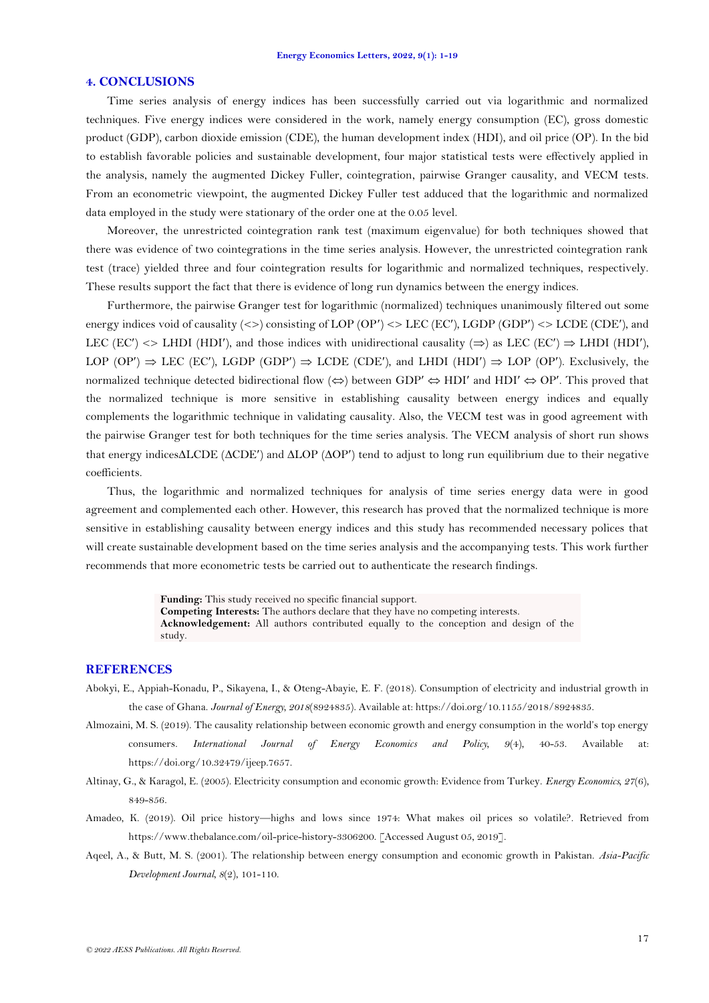### **4. CONCLUSIONS**

Time series analysis of energy indices has been successfully carried out via logarithmic and normalized techniques. Five energy indices were considered in the work, namely energy consumption (EC), gross domestic product (GDP), carbon dioxide emission (CDE), the human development index (HDI), and oil price (OP). In the bid to establish favorable policies and sustainable development, four major statistical tests were effectively applied in the analysis, namely the augmented Dickey Fuller, cointegration, pairwise Granger causality, and VECM tests. From an econometric viewpoint, the augmented Dickey Fuller test adduced that the logarithmic and normalized data employed in the study were stationary of the order one at the 0.05 level.

Moreover, the unrestricted cointegration rank test (maximum eigenvalue) for both techniques showed that there was evidence of two cointegrations in the time series analysis. However, the unrestricted cointegration rank test (trace) yielded three and four cointegration results for logarithmic and normalized techniques, respectively. These results support the fact that there is evidence of long run dynamics between the energy indices.

Furthermore, the pairwise Granger test for logarithmic (normalized) techniques unanimously filtered out some energy indices void of causality  $\langle \langle \rangle$  consisting of LOP  $\langle OP' \rangle \langle \rangle$  LEC (EC'), LGDP  $\langle GDP' \rangle \langle \rangle$  LCDE (CDE'), and LEC (EC')  $\langle$  > LHDI (HDI'), and those indices with unidirectional causality  $(\Rightarrow)$  as LEC (EC')  $\Rightarrow$  LHDI (HDI'), LOP (OP')  $\Rightarrow$  LEC (EC'), LGDP (GDP')  $\Rightarrow$  LCDE (CDE'), and LHDI (HDI')  $\Rightarrow$  LOP (OP'). Exclusively, the normalized technique detected bidirectional flow  $(\Leftrightarrow)$  between GDP'  $\Leftrightarrow$  HDI' and HDI'  $\Leftrightarrow$  OP'. This proved that the normalized technique is more sensitive in establishing causality between energy indices and equally complements the logarithmic technique in validating causality. Also, the VECM test was in good agreement with the pairwise Granger test for both techniques for the time series analysis. The VECM analysis of short run shows that energy indices  $\triangle$ LCDE ( $\triangle$ CDE') and  $\triangle$ LOP ( $\triangle$ OP') tend to adjust to long run equilibrium due to their negative coefficients.

Thus, the logarithmic and normalized techniques for analysis of time series energy data were in good agreement and complemented each other. However, this research has proved that the normalized technique is more sensitive in establishing causality between energy indices and this study has recommended necessary polices that will create sustainable development based on the time series analysis and the accompanying tests. This work further recommends that more econometric tests be carried out to authenticate the research findings.

> **Funding:** This study received no specific financial support. **Competing Interests:** The authors declare that they have no competing interests. **Acknowledgement:** All authors contributed equally to the conception and design of the study.

## **REFERENCES**

- <span id="page-16-3"></span>Abokyi, E., Appiah-Konadu, P., Sikayena, I., & Oteng-Abayie, E. F. (2018). Consumption of electricity and industrial growth in the case of Ghana. *Journal of Energy, 2018*(8924835). Available at: https://doi.org/10.1155/2018/8924835.
- <span id="page-16-0"></span>Almozaini, M. S. (2019). The causality relationship between economic growth and energy consumption in the world's top energy consumers. *International Journal of Energy Economics and Policy, 9*(4), 40-53. Available at: https://doi.org/10.32479/ijeep.7657.
- <span id="page-16-2"></span>Altinay, G., & Karagol, E. (2005). Electricity consumption and economic growth: Evidence from Turkey. *Energy Economics, 27*(6), 849-856.
- <span id="page-16-4"></span>Amadeo, K. (2019). Oil price history—highs and lows since 1974: What makes oil prices so volatile?. Retrieved from https://www.thebalance.com/oil-price-history-3306200. [Accessed August 05, 2019].
- <span id="page-16-1"></span>Aqeel, A., & Butt, M. S. (2001). The relationship between energy consumption and economic growth in Pakistan. *Asia-Pacific Development Journal, 8*(2), 101-110.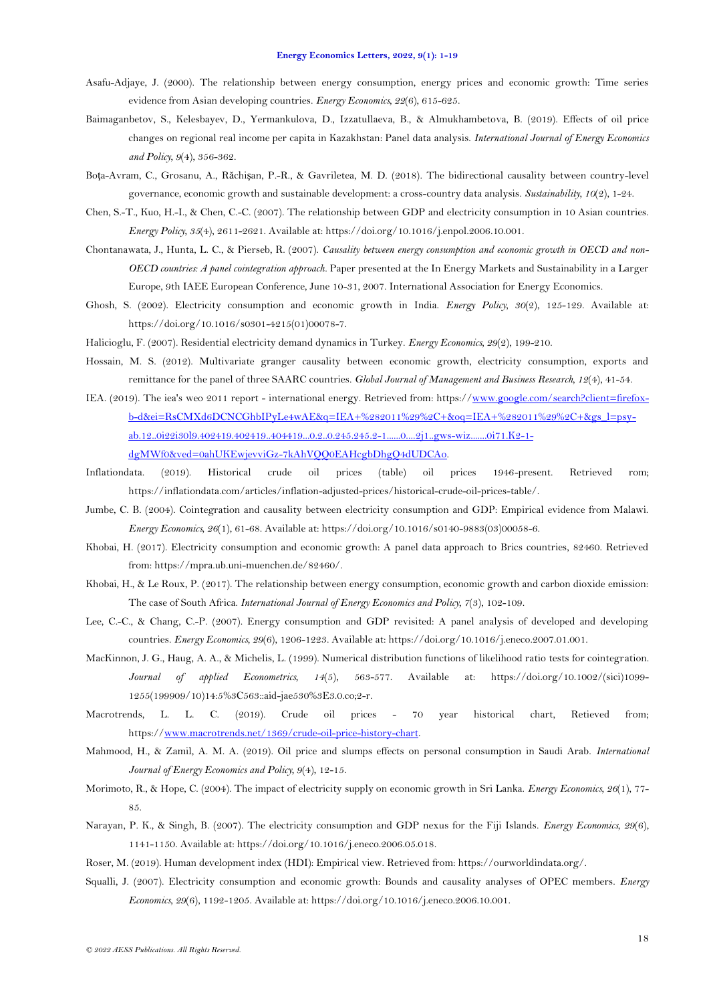- <span id="page-17-1"></span>Asafu-Adjaye, J. (2000). The relationship between energy consumption, energy prices and economic growth: Time series evidence from Asian developing countries. *Energy Economics, 22*(6), 615-625.
- <span id="page-17-15"></span>Baimaganbetov, S., Kelesbayev, D., Yermankulova, D., Izzatullaeva, B., & Almukhambetova, B. (2019). Effects of oil price changes on regional real income per capita in Kazakhstan: Panel data analysis. *International Journal of Energy Economics and Policy, 9*(4), 356-362.
- <span id="page-17-13"></span>Boţa-Avram, C., Grosanu, A., Răchişan, P.-R., & Gavriletea, M. D. (2018). The bidirectional causality between country-level governance, economic growth and sustainable development: a cross-country data analysis. *Sustainability, 10*(2), 1-24.
- <span id="page-17-9"></span>Chen, S.-T., Kuo, H.-I., & Chen, C.-C. (2007). The relationship between GDP and electricity consumption in 10 Asian countries. *Energy Policy, 35*(4), 2611-2621. Available at: https://doi.org/10.1016/j.enpol.2006.10.001.
- <span id="page-17-8"></span>Chontanawata, J., Hunta, L. C., & Pierseb, R. (2007). *Causality between energy consumption and economic growth in OECD and non-OECD countries: A panel cointegration approach*. Paper presented at the In Energy Markets and Sustainability in a Larger Europe, 9th IAEE European Conference, June 10-31, 2007. International Association for Energy Economics.
- <span id="page-17-2"></span>Ghosh, S. (2002). Electricity consumption and economic growth in India. *Energy Policy, 30*(2), 125-129. Available at: https://doi.org/10.1016/s0301-4215(01)00078-7.
- <span id="page-17-6"></span>Halicioglu, F. (2007). Residential electricity demand dynamics in Turkey. *Energy Economics, 29*(2), 199-210.
- <span id="page-17-20"></span><span id="page-17-0"></span>Hossain, M. S. (2012). Multivariate granger causality between economic growth, electricity consumption, exports and remittance for the panel of three SAARC countries. *Global Journal of Management and Business Research, 12*(4), 41-54.
- <span id="page-17-16"></span>IEA. (2019). The iea's weo 2011 report - international energy. Retrieved from: https:/[/www.google.com/search?client=firefox](http://www.google.com/search?client=firefox-b-d&ei=RsCMXd6DCNCGhbIPyLe4wAE&q=IEA+%282011%29%2C+&oq=IEA+%282011%29%2C+&gs_l=psy-ab.12..0i22i30l9.402419.402419..404419...0.2..0.245.245.2-1......0....2j1..gws-wiz.......0i71.K2-1-dgMWf0&ved=0ahUKEwjevviGz-7kAhVQQ0EAHcgbDhgQ4dUDCAo)[b-d&ei=RsCMXd6DCNCGhbIPyLe4wAE&q=IEA+%282011%29%2C+&oq=IEA+%282011%29%2C+&gs\\_l=psy](http://www.google.com/search?client=firefox-b-d&ei=RsCMXd6DCNCGhbIPyLe4wAE&q=IEA+%282011%29%2C+&oq=IEA+%282011%29%2C+&gs_l=psy-ab.12..0i22i30l9.402419.402419..404419...0.2..0.245.245.2-1......0....2j1..gws-wiz.......0i71.K2-1-dgMWf0&ved=0ahUKEwjevviGz-7kAhVQQ0EAHcgbDhgQ4dUDCAo)[ab.12..0i22i30l9.402419.402419..404419...0.2..0.245.245.2-1......0....2j1..gws-wiz.......0i71.K2-1](http://www.google.com/search?client=firefox-b-d&ei=RsCMXd6DCNCGhbIPyLe4wAE&q=IEA+%282011%29%2C+&oq=IEA+%282011%29%2C+&gs_l=psy-ab.12..0i22i30l9.402419.402419..404419...0.2..0.245.245.2-1......0....2j1..gws-wiz.......0i71.K2-1-dgMWf0&ved=0ahUKEwjevviGz-7kAhVQQ0EAHcgbDhgQ4dUDCAo) [dgMWf0&ved=0ahUKEwjevviGz-7kAhVQQ0EAHcgbDhgQ4dUDCAo.](http://www.google.com/search?client=firefox-b-d&ei=RsCMXd6DCNCGhbIPyLe4wAE&q=IEA+%282011%29%2C+&oq=IEA+%282011%29%2C+&gs_l=psy-ab.12..0i22i30l9.402419.402419..404419...0.2..0.245.245.2-1......0....2j1..gws-wiz.......0i71.K2-1-dgMWf0&ved=0ahUKEwjevviGz-7kAhVQQ0EAHcgbDhgQ4dUDCAo)
- <span id="page-17-18"></span>Inflationdata. (2019). Historical crude oil prices (table) oil prices 1946-present. Retrieved rom; https://inflationdata.com/articles/inflation-adjusted-prices/historical-crude-oil-prices-table/.
- <span id="page-17-4"></span>Jumbe, C. B. (2004). Cointegration and causality between electricity consumption and GDP: Empirical evidence from Malawi. *Energy Economics, 26*(1), 61-68. Available at: https://doi.org/10.1016/s0140-9883(03)00058-6.
- <span id="page-17-12"></span>Khobai, H. (2017). Electricity consumption and economic growth: A panel data approach to Brics countries, 82460. Retrieved from: https://mpra.ub.uni-muenchen.de/82460/.
- <span id="page-17-11"></span>Khobai, H., & Le Roux, P. (2017). The relationship between energy consumption, economic growth and carbon dioxide emission: The case of South Africa. *International Journal of Energy Economics and Policy, 7*(3), 102-109.
- <span id="page-17-5"></span>Lee, C.-C., & Chang, C.-P. (2007). Energy consumption and GDP revisited: A panel analysis of developed and developing countries. *Energy Economics, 29*(6), 1206-1223. Available at: https://doi.org/10.1016/j.eneco.2007.01.001.
- MacKinnon, J. G., Haug, A. A., & Michelis, L. (1999). Numerical distribution functions of likelihood ratio tests for cointegration. *Journal of applied Econometrics, 14*(5), 563-577. Available at: https://doi.org/10.1002/(sici)1099- 1255(199909/10)14:5%3C563::aid-jae530%3E3.0.co;2-r.
- <span id="page-17-19"></span>Macrotrends, L. L. C. (2019). Crude oil prices - 70 year historical chart, Retieved from; https:/[/www.macrotrends.net/1369/crude-oil-price-history-chart.](http://www.macrotrends.net/1369/crude-oil-price-history-chart)
- <span id="page-17-14"></span>Mahmood, H., & Zamil, A. M. A. (2019). Oil price and slumps effects on personal consumption in Saudi Arab. *International Journal of Energy Economics and Policy, 9*(4), 12-15.
- <span id="page-17-3"></span>Morimoto, R., & Hope, C. (2004). The impact of electricity supply on economic growth in Sri Lanka. *Energy Economics, 26*(1), 77- 85.
- <span id="page-17-7"></span>Narayan, P. K., & Singh, B. (2007). The electricity consumption and GDP nexus for the Fiji Islands. *Energy Economics, 29*(6), 1141-1150. Available at: https://doi.org/10.1016/j.eneco.2006.05.018.
- <span id="page-17-17"></span>Roser, M. (2019). Human development index (HDI): Empirical view. Retrieved from: https://ourworldindata.org/.
- <span id="page-17-10"></span>Squalli, J. (2007). Electricity consumption and economic growth: Bounds and causality analyses of OPEC members. *Energy Economics, 29*(6), 1192-1205. Available at: https://doi.org/10.1016/j.eneco.2006.10.001.